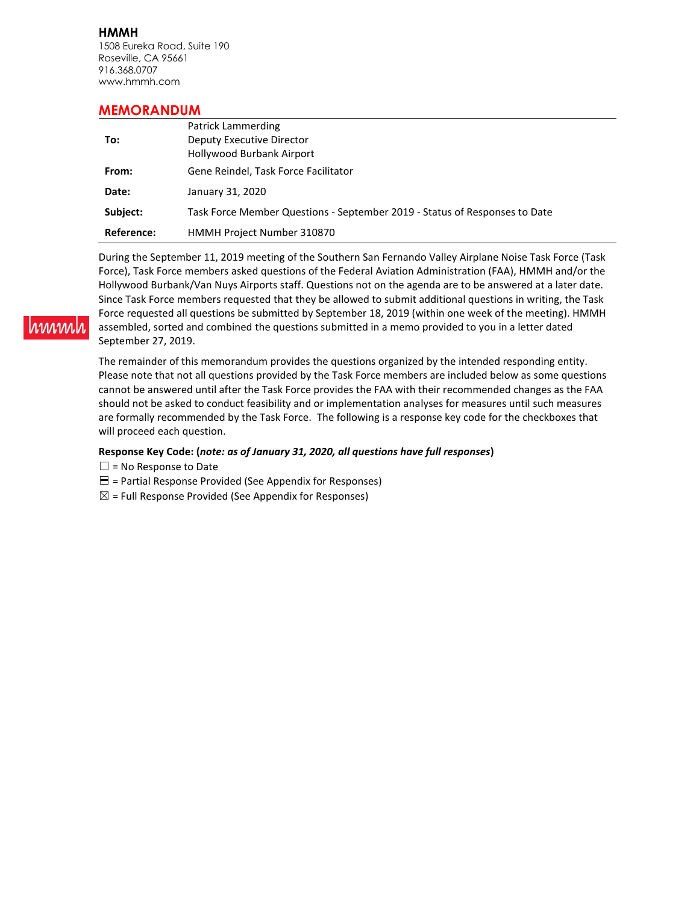**HMMH** 1508 Eureka Road, Suite 190 Roseville, CA 95661 916.368.0707 www.hmmh.com

### **MEMORANDUM**

|            | Patrick Lammerding                                                         |
|------------|----------------------------------------------------------------------------|
| To:        | Deputy Executive Director                                                  |
|            | Hollywood Burbank Airport                                                  |
| From:      | Gene Reindel, Task Force Facilitator                                       |
| Date:      | January 31, 2020                                                           |
| Subject:   | Task Force Member Questions - September 2019 - Status of Responses to Date |
| Reference: | HMMH Project Number 310870                                                 |

During the September 11, 2019 meeting of the Southern San Fernando Valley Airplane Noise Task Force (Task Force), Task Force members asked questions of the Federal Aviation Administration (FAA), HMMH and/or the Hollywood Burbank/Van Nuys Airports staff. Questions not on the agenda are to be answered at a later date. Since Task Force members requested that they be allowed to submit additional questions in writing, the Task Force requested all questions be submitted by September 18, 2019 (within one week of the meeting). HMMH assembled, sorted and combined the questions submitted in a memo provided to you in a letter dated September 27, 2019.

The remainder of this memorandum provides the questions organized by the intended responding entity. Please note that not all questions provided by the Task Force members are included below as some questions cannot be answered until after the Task Force provides the FAA with their recommended changes as the FAA should not be asked to conduct feasibility and or implementation analyses for measures until such measures are formally recommended by the Task Force. The following is a response key code for the checkboxes that will proceed each question.

### **Response Key Code: (***note: as of January 31, 2020, all questions have full responses***)**

 $\square$  = No Response to Date

hinnni

- $\Xi$  = Partial Response Provided (See Appendix for Responses)
- $\boxtimes$  = Full Response Provided (See Appendix for Responses)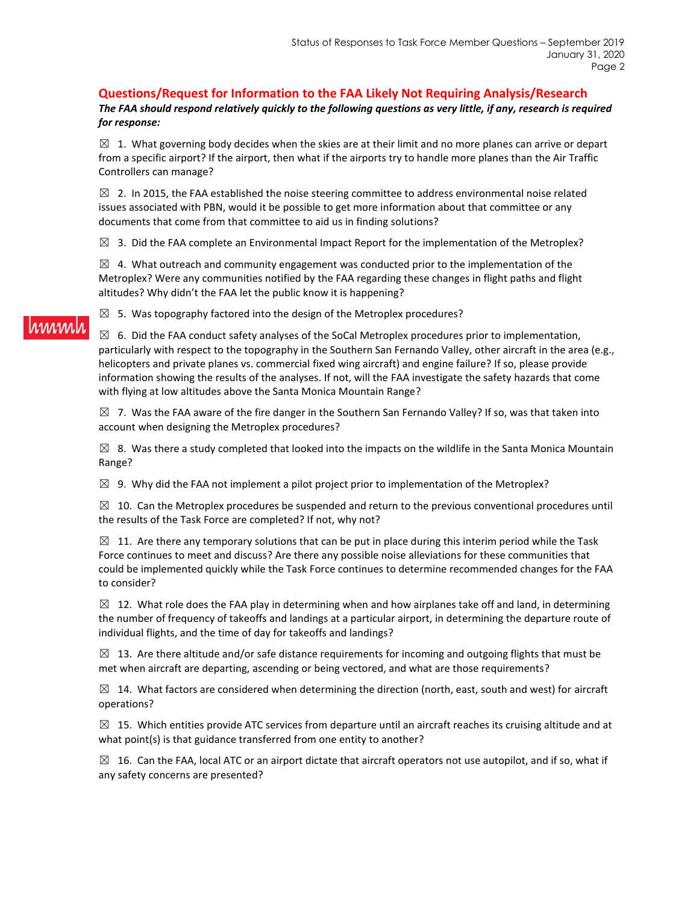### **Questions/Request for Information to the FAA Likely Not Requiring Analysis/Research**

*The FAA should respond relatively quickly to the following questions as very little, if any, research is required for response:*

 $\boxtimes$  1. What governing body decides when the skies are at their limit and no more planes can arrive or depart from a specific airport? If the airport, then what if the airports try to handle more planes than the Air Traffic Controllers can manage?

 $\boxtimes$  2. In 2015, the FAA established the noise steering committee to address environmental noise related issues associated with PBN, would it be possible to get more information about that committee or any documents that come from that committee to aid us in finding solutions?

 $\boxtimes$  3. Did the FAA complete an Environmental Impact Report for the implementation of the Metroplex?

 $\boxtimes$  4. What outreach and community engagement was conducted prior to the implementation of the Metroplex? Were any communities notified by the FAA regarding these changes in flight paths and flight altitudes? Why didn't the FAA let the public know it is happening?

 $\boxtimes$  5. Was topography factored into the design of the Metroplex procedures?

 $\boxtimes$  6. Did the FAA conduct safety analyses of the SoCal Metroplex procedures prior to implementation, particularly with respect to the topography in the Southern San Fernando Valley, other aircraft in the area (e.g., helicopters and private planes vs. commercial fixed wing aircraft) and engine failure? If so, please provide information showing the results of the analyses. If not, will the FAA investigate the safety hazards that come with flying at low altitudes above the Santa Monica Mountain Range?

 $\boxtimes$  7. Was the FAA aware of the fire danger in the Southern San Fernando Valley? If so, was that taken into account when designing the Metroplex procedures?

 $\boxtimes$  8. Was there a study completed that looked into the impacts on the wildlife in the Santa Monica Mountain Range?

 $\boxtimes$  9. Why did the FAA not implement a pilot project prior to implementation of the Metroplex?

 $\boxtimes$  10. Can the Metroplex procedures be suspended and return to the previous conventional procedures until the results of the Task Force are completed? If not, why not?

 $\boxtimes$  11. Are there any temporary solutions that can be put in place during this interim period while the Task Force continues to meet and discuss? Are there any possible noise alleviations for these communities that could be implemented quickly while the Task Force continues to determine recommended changes for the FAA to consider?

 $\boxtimes$  12. What role does the FAA play in determining when and how airplanes take off and land, in determining the number of frequency of takeoffs and landings at a particular airport, in determining the departure route of individual flights, and the time of day for takeoffs and landings?

 $\boxtimes$  13. Are there altitude and/or safe distance requirements for incoming and outgoing flights that must be met when aircraft are departing, ascending or being vectored, and what are those requirements?

 $\boxtimes$  14. What factors are considered when determining the direction (north, east, south and west) for aircraft operations?

 $\boxtimes$  15. Which entities provide ATC services from departure until an aircraft reaches its cruising altitude and at what point(s) is that guidance transferred from one entity to another?

 $\boxtimes$  16. Can the FAA, local ATC or an airport dictate that aircraft operators not use autopilot, and if so, what if any safety concerns are presented?

# hmmhl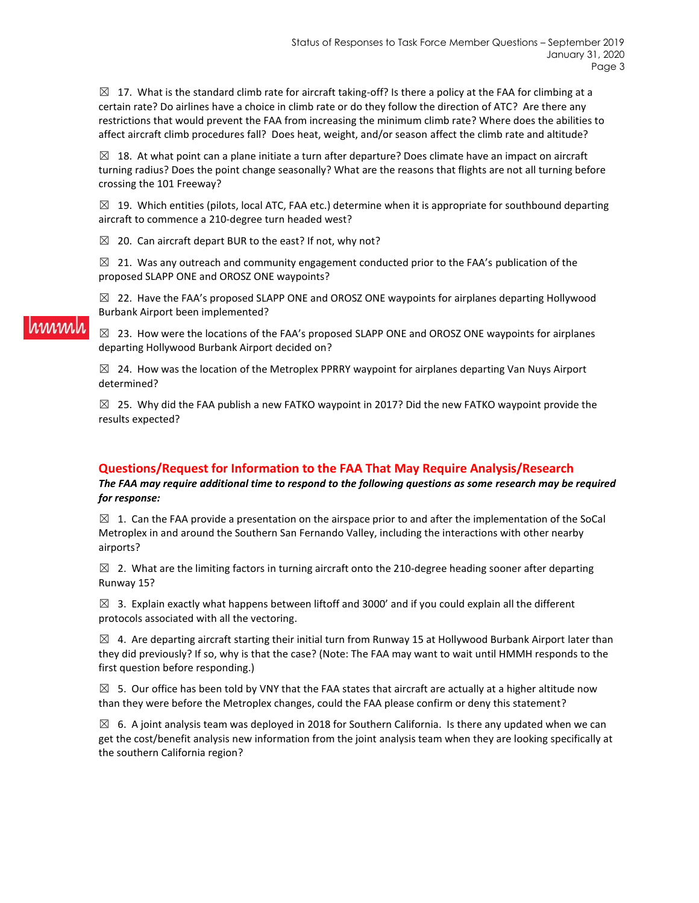$\boxtimes$  17. What is the standard climb rate for aircraft taking-off? Is there a policy at the FAA for climbing at a certain rate? Do airlines have a choice in climb rate or do they follow the direction of ATC? Are there any restrictions that would prevent the FAA from increasing the minimum climb rate? Where does the abilities to affect aircraft climb procedures fall? Does heat, weight, and/or season affect the climb rate and altitude?

 $\boxtimes$  18. At what point can a plane initiate a turn after departure? Does climate have an impact on aircraft turning radius? Does the point change seasonally? What are the reasons that flights are not all turning before crossing the 101 Freeway?

 $\boxtimes$  19. Which entities (pilots, local ATC, FAA etc.) determine when it is appropriate for southbound departing aircraft to commence a 210-degree turn headed west?

 $\boxtimes$  20. Can aircraft depart BUR to the east? If not, why not?

 $\boxtimes$  21. Was any outreach and community engagement conducted prior to the FAA's publication of the proposed SLAPP ONE and OROSZ ONE waypoints?

 $\boxtimes$  22. Have the FAA's proposed SLAPP ONE and OROSZ ONE waypoints for airplanes departing Hollywood Burbank Airport been implemented?

 $\boxtimes$  23. How were the locations of the FAA's proposed SLAPP ONE and OROSZ ONE waypoints for airplanes departing Hollywood Burbank Airport decided on?

 $\boxtimes$  24. How was the location of the Metroplex PPRRY waypoint for airplanes departing Van Nuys Airport determined?

 $\boxtimes$  25. Why did the FAA publish a new FATKO waypoint in 2017? Did the new FATKO waypoint provide the results expected?

### **Questions/Request for Information to the FAA That May Require Analysis/Research**

*The FAA may require additional time to respond to the following questions as some research may be required for response:*

 $\boxtimes$  1. Can the FAA provide a presentation on the airspace prior to and after the implementation of the SoCal Metroplex in and around the Southern San Fernando Valley, including the interactions with other nearby airports?

 $\boxtimes$  2. What are the limiting factors in turning aircraft onto the 210-degree heading sooner after departing Runway 15?

 $\boxtimes$  3. Explain exactly what happens between liftoff and 3000' and if you could explain all the different protocols associated with all the vectoring.

 $\boxtimes$  4. Are departing aircraft starting their initial turn from Runway 15 at Hollywood Burbank Airport later than they did previously? If so, why is that the case? (Note: The FAA may want to wait until HMMH responds to the first question before responding.)

 $\boxtimes$  5. Our office has been told by VNY that the FAA states that aircraft are actually at a higher altitude now than they were before the Metroplex changes, could the FAA please confirm or deny this statement?

 $\boxtimes$  6. A joint analysis team was deployed in 2018 for Southern California. Is there any updated when we can get the cost/benefit analysis new information from the joint analysis team when they are looking specifically at the southern California region?

## rinnin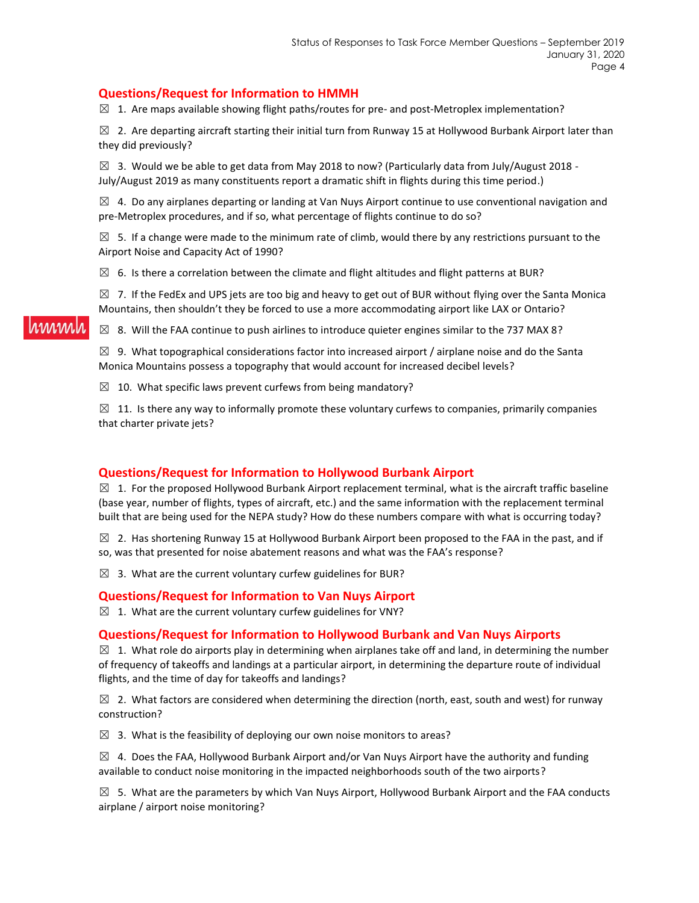### **Questions/Request for Information to HMMH**

 $\boxtimes$  1. Are maps available showing flight paths/routes for pre- and post-Metroplex implementation?

 $\boxtimes$  2. Are departing aircraft starting their initial turn from Runway 15 at Hollywood Burbank Airport later than they did previously?

 $\boxtimes$  3. Would we be able to get data from May 2018 to now? (Particularly data from July/August 2018 -July/August 2019 as many constituents report a dramatic shift in flights during this time period.)

 $\boxtimes$  4. Do any airplanes departing or landing at Van Nuys Airport continue to use conventional navigation and pre-Metroplex procedures, and if so, what percentage of flights continue to do so?

 $\boxtimes$  5. If a change were made to the minimum rate of climb, would there by any restrictions pursuant to the Airport Noise and Capacity Act of 1990?

 $\boxtimes$  6. Is there a correlation between the climate and flight altitudes and flight patterns at BUR?

 $\boxtimes$  7. If the FedEx and UPS jets are too big and heavy to get out of BUR without flying over the Santa Monica Mountains, then shouldn't they be forced to use a more accommodating airport like LAX or Ontario?

### $\boxtimes$  8. Will the FAA continue to push airlines to introduce quieter engines similar to the 737 MAX 8?

 $\boxtimes$  9. What topographical considerations factor into increased airport / airplane noise and do the Santa Monica Mountains possess a topography that would account for increased decibel levels?

 $\boxtimes$  10. What specific laws prevent curfews from being mandatory?

 $\boxtimes$  11. Is there any way to informally promote these voluntary curfews to companies, primarily companies that charter private jets?

### **Questions/Request for Information to Hollywood Burbank Airport**

 $\boxtimes$  1. For the proposed Hollywood Burbank Airport replacement terminal, what is the aircraft traffic baseline (base year, number of flights, types of aircraft, etc.) and the same information with the replacement terminal built that are being used for the NEPA study? How do these numbers compare with what is occurring today?

 $\boxtimes$  2. Has shortening Runway 15 at Hollywood Burbank Airport been proposed to the FAA in the past, and if so, was that presented for noise abatement reasons and what was the FAA's response?

 $\boxtimes$  3. What are the current voluntary curfew guidelines for BUR?

### **Questions/Request for Information to Van Nuys Airport**

 $\boxtimes$  1. What are the current voluntary curfew guidelines for VNY?

### **Questions/Request for Information to Hollywood Burbank and Van Nuys Airports**

 $\boxtimes$  1. What role do airports play in determining when airplanes take off and land, in determining the number of frequency of takeoffs and landings at a particular airport, in determining the departure route of individual flights, and the time of day for takeoffs and landings?

 $\boxtimes$  2. What factors are considered when determining the direction (north, east, south and west) for runway construction?

 $\boxtimes$  3. What is the feasibility of deploying our own noise monitors to areas?

 $\boxtimes$  4. Does the FAA, Hollywood Burbank Airport and/or Van Nuys Airport have the authority and funding available to conduct noise monitoring in the impacted neighborhoods south of the two airports?

 $\boxtimes$  5. What are the parameters by which Van Nuys Airport, Hollywood Burbank Airport and the FAA conducts airplane / airport noise monitoring?

nnnnnl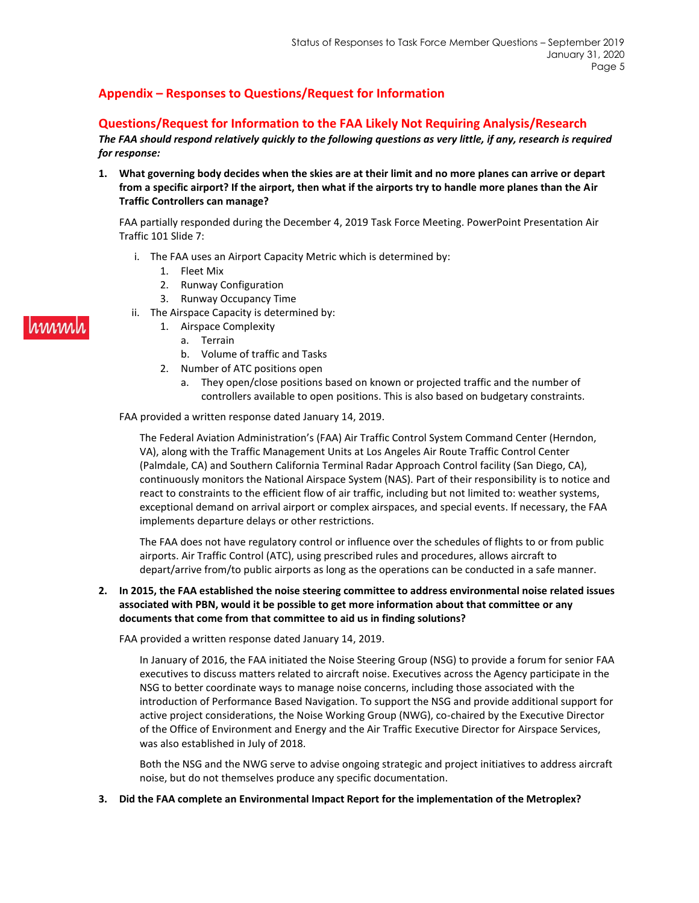## **Appendix – Responses to Questions/Request for Information**

### **Questions/Request for Information to the FAA Likely Not Requiring Analysis/Research**

*The FAA should respond relatively quickly to the following questions as very little, if any, research is required for response:*

**1. What governing body decides when the skies are at their limit and no more planes can arrive or depart from a specific airport? If the airport, then what if the airports try to handle more planes than the Air Traffic Controllers can manage?** 

FAA partially responded during the December 4, 2019 Task Force Meeting. PowerPoint Presentation Air Traffic 101 Slide 7:

- i. The FAA uses an Airport Capacity Metric which is determined by:
	- 1. Fleet Mix
	- 2. Runway Configuration
	- 3. Runway Occupancy Time
- ii. The Airspace Capacity is determined by:
	- 1. Airspace Complexity
		- a. Terrain
		- b. Volume of traffic and Tasks
	- 2. Number of ATC positions open
		- a. They open/close positions based on known or projected traffic and the number of controllers available to open positions. This is also based on budgetary constraints.

### FAA provided a written response dated January 14, 2019.

The Federal Aviation Administration's (FAA) Air Traffic Control System Command Center (Herndon, VA), along with the Traffic Management Units at Los Angeles Air Route Traffic Control Center (Palmdale, CA) and Southern California Terminal Radar Approach Control facility (San Diego, CA), continuously monitors the National Airspace System (NAS). Part of their responsibility is to notice and react to constraints to the efficient flow of air traffic, including but not limited to: weather systems, exceptional demand on arrival airport or complex airspaces, and special events. If necessary, the FAA implements departure delays or other restrictions.

The FAA does not have regulatory control or influence over the schedules of flights to or from public airports. Air Traffic Control (ATC), using prescribed rules and procedures, allows aircraft to depart/arrive from/to public airports as long as the operations can be conducted in a safe manner.

### **2. In 2015, the FAA established the noise steering committee to address environmental noise related issues associated with PBN, would it be possible to get more information about that committee or any documents that come from that committee to aid us in finding solutions?**

FAA provided a written response dated January 14, 2019.

In January of 2016, the FAA initiated the Noise Steering Group (NSG) to provide a forum for senior FAA executives to discuss matters related to aircraft noise. Executives across the Agency participate in the NSG to better coordinate ways to manage noise concerns, including those associated with the introduction of Performance Based Navigation. To support the NSG and provide additional support for active project considerations, the Noise Working Group (NWG), co-chaired by the Executive Director of the Office of Environment and Energy and the Air Traffic Executive Director for Airspace Services, was also established in July of 2018.

Both the NSG and the NWG serve to advise ongoing strategic and project initiatives to address aircraft noise, but do not themselves produce any specific documentation.

**3. Did the FAA complete an Environmental Impact Report for the implementation of the Metroplex?**

# rmml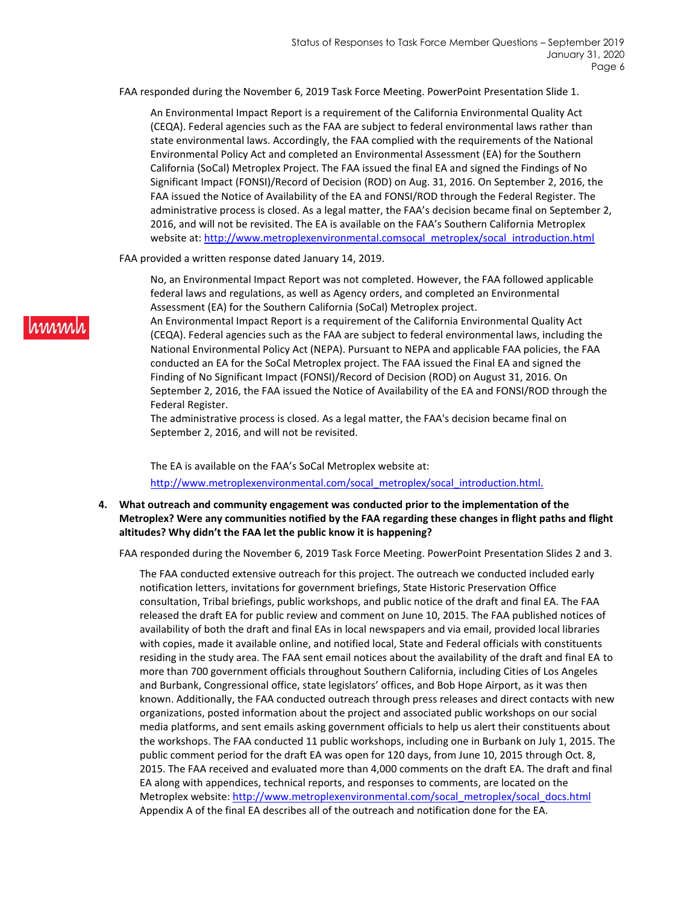FAA responded during the November 6, 2019 Task Force Meeting. PowerPoint Presentation Slide 1.

An Environmental Impact Report is a requirement of the California Environmental Quality Act (CEQA). Federal agencies such as the FAA are subject to federal environmental laws rather than state environmental laws. Accordingly, the FAA complied with the requirements of the National Environmental Policy Act and completed an Environmental Assessment (EA) for the Southern California (SoCal) Metroplex Project. The FAA issued the final EA and signed the Findings of No Significant Impact (FONSI)/Record of Decision (ROD) on Aug. 31, 2016. On September 2, 2016, the FAA issued the Notice of Availability of the EA and FONSI/ROD through the Federal Register. The administrative process is closed. As a legal matter, the FAA's decision became final on September 2, 2016, and will not be revisited. The EA is available on the FAA's Southern California Metroplex website at: [http://www.metroplexenvironmental.comsocal\\_metroplex/socal\\_introduction.html](http://www.metroplexenvironmental.comsocal_metroplex/socal_introduction.html)

FAA provided a written response dated January 14, 2019.

No, an Environmental Impact Report was not completed. However, the FAA followed applicable federal laws and regulations, as well as Agency orders, and completed an Environmental Assessment (EA) for the Southern California (SoCal) Metroplex project.

An Environmental Impact Report is a requirement of the California Environmental Quality Act (CEQA). Federal agencies such as the FAA are subject to federal environmental laws, including the National Environmental Policy Act (NEPA). Pursuant to NEPA and applicable FAA policies, the FAA conducted an EA for the SoCal Metroplex project. The FAA issued the Final EA and signed the Finding of No Significant Impact (FONSI)/Record of Decision (ROD) on August 31, 2016. On September 2, 2016, the FAA issued the Notice of Availability of the EA and FONSI/ROD through the Federal Register.

The administrative process is closed. As a legal matter, the FAA's decision became final on September 2, 2016, and will not be revisited.

The EA is available on the FAA's SoCal Metroplex website at: [http://www.metroplexenvironmental.com/socal\\_metroplex/socal\\_introduction.html.](http://www.metroplexenvironmental.com/socal_metroplex/socal_introduction.html.)

**4. What outreach and community engagement was conducted prior to the implementation of the Metroplex? Were any communities notified by the FAA regarding these changes in flight paths and flight altitudes? Why didn't the FAA let the public know it is happening?**

FAA responded during the November 6, 2019 Task Force Meeting. PowerPoint Presentation Slides 2 and 3.

The FAA conducted extensive outreach for this project. The outreach we conducted included early notification letters, invitations for government briefings, State Historic Preservation Office consultation, Tribal briefings, public workshops, and public notice of the draft and final EA. The FAA released the draft EA for public review and comment on June 10, 2015. The FAA published notices of availability of both the draft and final EAs in local newspapers and via email, provided local libraries with copies, made it available online, and notified local, State and Federal officials with constituents residing in the study area. The FAA sent email notices about the availability of the draft and final EA to more than 700 government officials throughout Southern California, including Cities of Los Angeles and Burbank, Congressional office, state legislators' offices, and Bob Hope Airport, as it was then known. Additionally, the FAA conducted outreach through press releases and direct contacts with new organizations, posted information about the project and associated public workshops on our social media platforms, and sent emails asking government officials to help us alert their constituents about the workshops. The FAA conducted 11 public workshops, including one in Burbank on July 1, 2015. The public comment period for the draft EA was open for 120 days, from June 10, 2015 through Oct. 8, 2015. The FAA received and evaluated more than 4,000 comments on the draft EA. The draft and final EA along with appendices, technical reports, and responses to comments, are located on the Metroplex website: [http://www.metroplexenvironmental.com/socal\\_metroplex/socal\\_docs.html](http://www.metroplexenvironmental.com/socal_metroplex/socal_docs.html) Appendix A of the final EA describes all of the outreach and notification done for the EA.

# hmml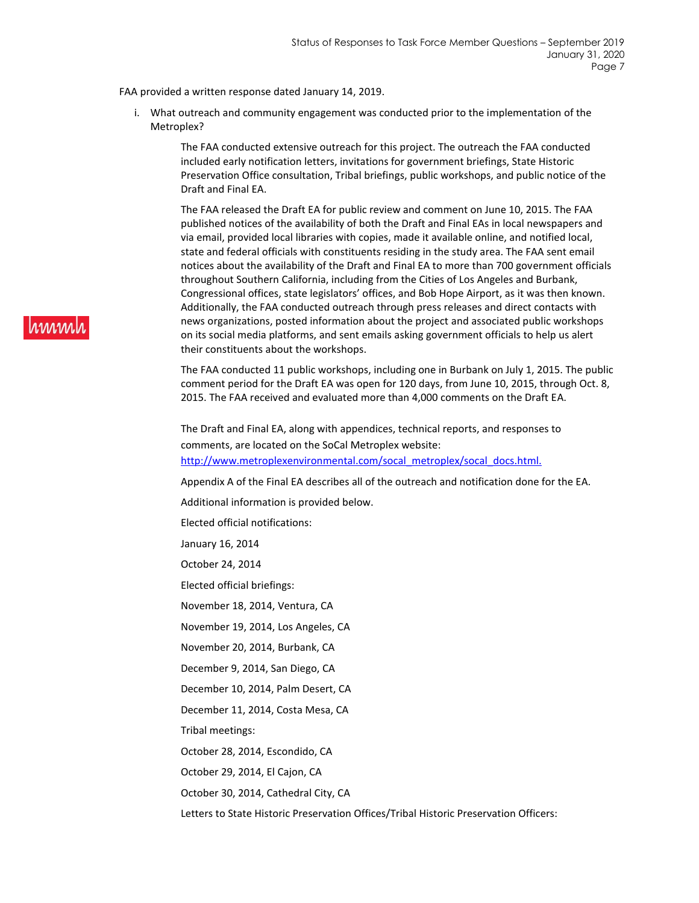FAA provided a written response dated January 14, 2019.

i. What outreach and community engagement was conducted prior to the implementation of the Metroplex?

> The FAA conducted extensive outreach for this project. The outreach the FAA conducted included early notification letters, invitations for government briefings, State Historic Preservation Office consultation, Tribal briefings, public workshops, and public notice of the Draft and Final EA.

The FAA released the Draft EA for public review and comment on June 10, 2015. The FAA published notices of the availability of both the Draft and Final EAs in local newspapers and via email, provided local libraries with copies, made it available online, and notified local, state and federal officials with constituents residing in the study area. The FAA sent email notices about the availability of the Draft and Final EA to more than 700 government officials throughout Southern California, including from the Cities of Los Angeles and Burbank, Congressional offices, state legislators' offices, and Bob Hope Airport, as it was then known. Additionally, the FAA conducted outreach through press releases and direct contacts with news organizations, posted information about the project and associated public workshops on its social media platforms, and sent emails asking government officials to help us alert their constituents about the workshops.

The FAA conducted 11 public workshops, including one in Burbank on July 1, 2015. The public comment period for the Draft EA was open for 120 days, from June 10, 2015, through Oct. 8, 2015. The FAA received and evaluated more than 4,000 comments on the Draft EA.

The Draft and Final EA, along with appendices, technical reports, and responses to comments, are located on the SoCal Metroplex website: [http://www.metroplexenvironmental.com/socal\\_metroplex/socal\\_docs.html.](http://www.metroplexenvironmental.com/socal_metroplex/socal_docs.html.)

Appendix A of the Final EA describes all of the outreach and notification done for the EA.

Additional information is provided below.

Elected official notifications:

January 16, 2014

October 24, 2014

Elected official briefings:

November 18, 2014, Ventura, CA

November 19, 2014, Los Angeles, CA

November 20, 2014, Burbank, CA

December 9, 2014, San Diego, CA

December 10, 2014, Palm Desert, CA

December 11, 2014, Costa Mesa, CA

Tribal meetings:

October 28, 2014, Escondido, CA

October 29, 2014, El Cajon, CA

October 30, 2014, Cathedral City, CA

Letters to State Historic Preservation Offices/Tribal Historic Preservation Officers: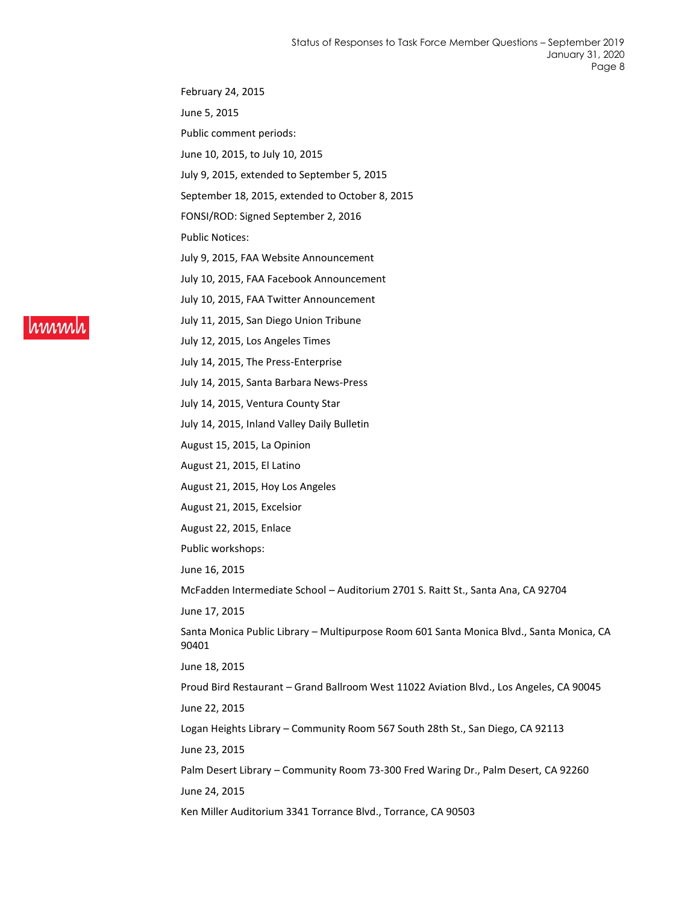February 24, 2015

June 5, 2015

Public comment periods:

June 10, 2015, to July 10, 2015

July 9, 2015, extended to September 5, 2015

September 18, 2015, extended to October 8, 2015

FONSI/ROD: Signed September 2, 2016

Public Notices:

July 9, 2015, FAA Website Announcement

July 10, 2015, FAA Facebook Announcement

July 10, 2015, FAA Twitter Announcement

July 11, 2015, San Diego Union Tribune

July 12, 2015, Los Angeles Times

July 14, 2015, The Press-Enterprise

July 14, 2015, Santa Barbara News-Press

July 14, 2015, Ventura County Star

July 14, 2015, Inland Valley Daily Bulletin

August 15, 2015, La Opinion

August 21, 2015, El Latino

August 21, 2015, Hoy Los Angeles

August 21, 2015, Excelsior

August 22, 2015, Enlace

Public workshops:

June 16, 2015

McFadden Intermediate School – Auditorium 2701 S. Raitt St., Santa Ana, CA 92704

June 17, 2015

Santa Monica Public Library – Multipurpose Room 601 Santa Monica Blvd., Santa Monica, CA 90401

June 18, 2015

Proud Bird Restaurant – Grand Ballroom West 11022 Aviation Blvd., Los Angeles, CA 90045 June 22, 2015

Logan Heights Library – Community Room 567 South 28th St., San Diego, CA 92113

June 23, 2015

Palm Desert Library – Community Room 73-300 Fred Waring Dr., Palm Desert, CA 92260 June 24, 2015

Ken Miller Auditorium 3341 Torrance Blvd., Torrance, CA 90503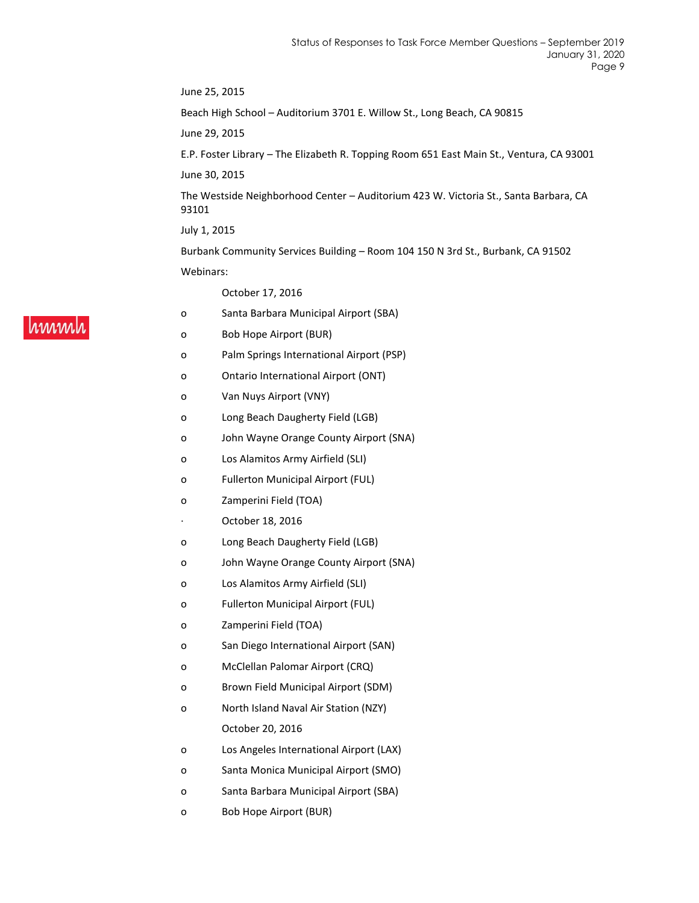June 25, 2015 Beach High School – Auditorium 3701 E. Willow St., Long Beach, CA 90815 June 29, 2015 E.P. Foster Library – The Elizabeth R. Topping Room 651 East Main St., Ventura, CA 93001 June 30, 2015 The Westside Neighborhood Center – Auditorium 423 W. Victoria St., Santa Barbara, CA 93101 July 1, 2015 Burbank Community Services Building – Room 104 150 N 3rd St., Burbank, CA 91502 Webinars:

October 17, 2016

- o Santa Barbara Municipal Airport (SBA)
- o Bob Hope Airport (BUR)
- o Palm Springs International Airport (PSP)
- o Ontario International Airport (ONT)
- o Van Nuys Airport (VNY)
- o Long Beach Daugherty Field (LGB)
- o John Wayne Orange County Airport (SNA)
- o Los Alamitos Army Airfield (SLI)
- o Fullerton Municipal Airport (FUL)
- o Zamperini Field (TOA)
- October 18, 2016
- o Long Beach Daugherty Field (LGB)
- o John Wayne Orange County Airport (SNA)
- o Los Alamitos Army Airfield (SLI)
- o Fullerton Municipal Airport (FUL)
- o Zamperini Field (TOA)
- o San Diego International Airport (SAN)
- o McClellan Palomar Airport (CRQ)
- o Brown Field Municipal Airport (SDM)
- o North Island Naval Air Station (NZY) October 20, 2016
- o Los Angeles International Airport (LAX)
- o Santa Monica Municipal Airport (SMO)
- o Santa Barbara Municipal Airport (SBA)
- o Bob Hope Airport (BUR)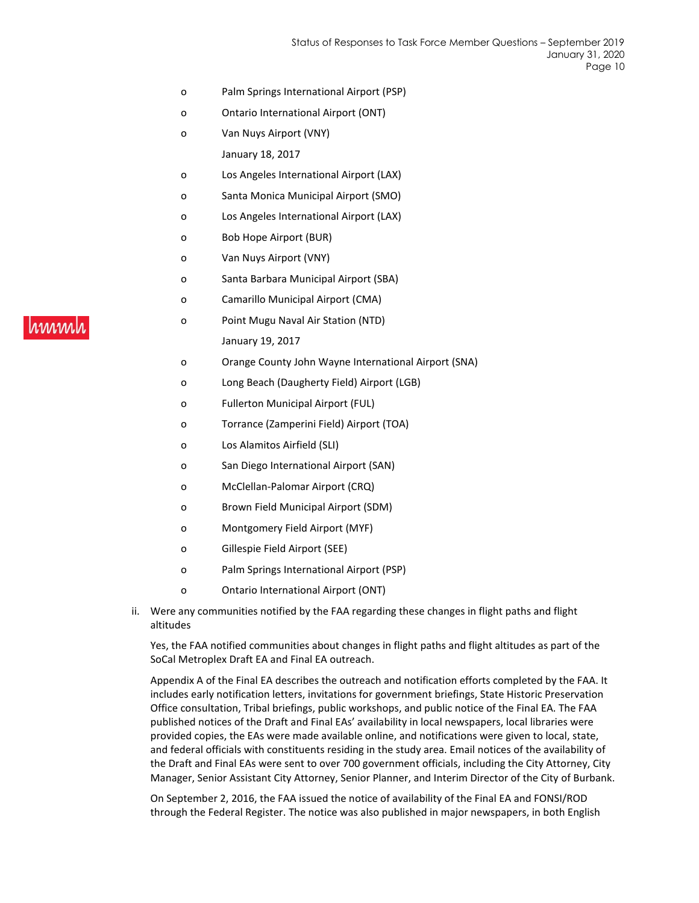- o Palm Springs International Airport (PSP)
- o Ontario International Airport (ONT)
- o Van Nuys Airport (VNY)

January 18, 2017

- o Los Angeles International Airport (LAX)
- o Santa Monica Municipal Airport (SMO)
- o Los Angeles International Airport (LAX)
- o Bob Hope Airport (BUR)
- o Van Nuys Airport (VNY)
- o Santa Barbara Municipal Airport (SBA)
- o Camarillo Municipal Airport (CMA)
- o Point Mugu Naval Air Station (NTD) January 19, 2017
- o Orange County John Wayne International Airport (SNA)
- o Long Beach (Daugherty Field) Airport (LGB)
- o Fullerton Municipal Airport (FUL)
- o Torrance (Zamperini Field) Airport (TOA)
- o Los Alamitos Airfield (SLI)
- o San Diego International Airport (SAN)
- o McClellan-Palomar Airport (CRQ)
- o Brown Field Municipal Airport (SDM)
- o Montgomery Field Airport (MYF)
- o Gillespie Field Airport (SEE)
- o Palm Springs International Airport (PSP)
- o Ontario International Airport (ONT)
- ii. Were any communities notified by the FAA regarding these changes in flight paths and flight altitudes

Yes, the FAA notified communities about changes in flight paths and flight altitudes as part of the SoCal Metroplex Draft EA and Final EA outreach.

Appendix A of the Final EA describes the outreach and notification efforts completed by the FAA. It includes early notification letters, invitations for government briefings, State Historic Preservation Office consultation, Tribal briefings, public workshops, and public notice of the Final EA. The FAA published notices of the Draft and Final EAs' availability in local newspapers, local libraries were provided copies, the EAs were made available online, and notifications were given to local, state, and federal officials with constituents residing in the study area. Email notices of the availability of the Draft and Final EAs were sent to over 700 government officials, including the City Attorney, City Manager, Senior Assistant City Attorney, Senior Planner, and Interim Director of the City of Burbank.

On September 2, 2016, the FAA issued the notice of availability of the Final EA and FONSI/ROD through the Federal Register. The notice was also published in major newspapers, in both English

# hmml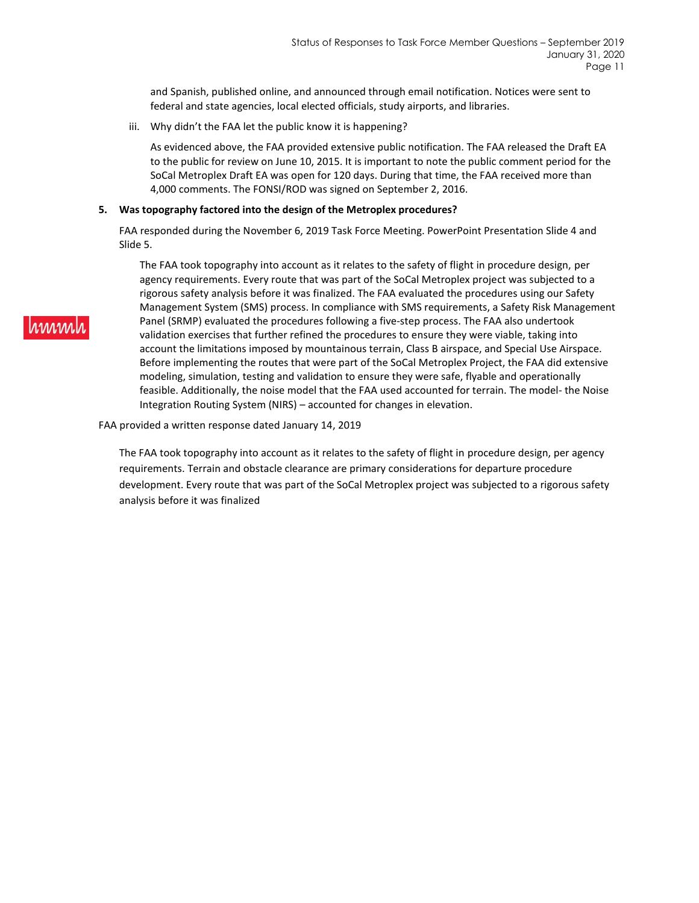and Spanish, published online, and announced through email notification. Notices were sent to federal and state agencies, local elected officials, study airports, and libraries.

iii. Why didn't the FAA let the public know it is happening?

As evidenced above, the FAA provided extensive public notification. The FAA released the Draft EA to the public for review on June 10, 2015. It is important to note the public comment period for the SoCal Metroplex Draft EA was open for 120 days. During that time, the FAA received more than 4,000 comments. The FONSI/ROD was signed on September 2, 2016.

#### **5. Was topography factored into the design of the Metroplex procedures?**

FAA responded during the November 6, 2019 Task Force Meeting. PowerPoint Presentation Slide 4 and Slide 5.

The FAA took topography into account as it relates to the safety of flight in procedure design, per agency requirements. Every route that was part of the SoCal Metroplex project was subjected to a rigorous safety analysis before it was finalized. The FAA evaluated the procedures using our Safety Management System (SMS) process. In compliance with SMS requirements, a Safety Risk Management Panel (SRMP) evaluated the procedures following a five-step process. The FAA also undertook validation exercises that further refined the procedures to ensure they were viable, taking into account the limitations imposed by mountainous terrain, Class B airspace, and Special Use Airspace. Before implementing the routes that were part of the SoCal Metroplex Project, the FAA did extensive modeling, simulation, testing and validation to ensure they were safe, flyable and operationally feasible. Additionally, the noise model that the FAA used accounted for terrain. The model- the Noise Integration Routing System (NIRS) – accounted for changes in elevation.

#### FAA provided a written response dated January 14, 2019

The FAA took topography into account as it relates to the safety of flight in procedure design, per agency requirements. Terrain and obstacle clearance are primary considerations for departure procedure development. Every route that was part of the SoCal Metroplex project was subjected to a rigorous safety analysis before it was finalized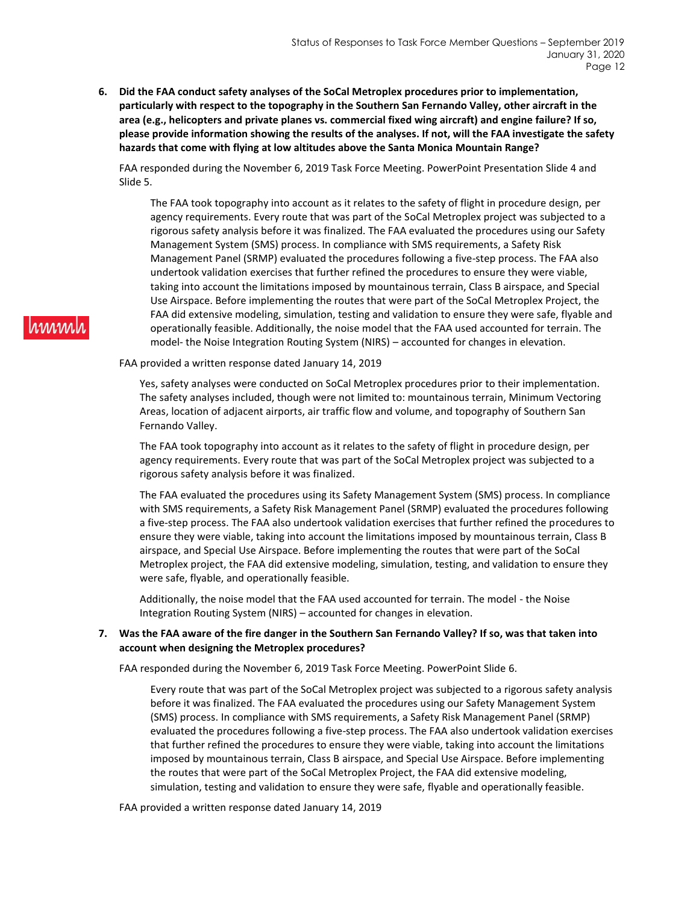**6. Did the FAA conduct safety analyses of the SoCal Metroplex procedures prior to implementation, particularly with respect to the topography in the Southern San Fernando Valley, other aircraft in the area (e.g., helicopters and private planes vs. commercial fixed wing aircraft) and engine failure? If so, please provide information showing the results of the analyses. If not, will the FAA investigate the safety hazards that come with flying at low altitudes above the Santa Monica Mountain Range?**

FAA responded during the November 6, 2019 Task Force Meeting. PowerPoint Presentation Slide 4 and Slide 5.

The FAA took topography into account as it relates to the safety of flight in procedure design, per agency requirements. Every route that was part of the SoCal Metroplex project was subjected to a rigorous safety analysis before it was finalized. The FAA evaluated the procedures using our Safety Management System (SMS) process. In compliance with SMS requirements, a Safety Risk Management Panel (SRMP) evaluated the procedures following a five-step process. The FAA also undertook validation exercises that further refined the procedures to ensure they were viable, taking into account the limitations imposed by mountainous terrain, Class B airspace, and Special Use Airspace. Before implementing the routes that were part of the SoCal Metroplex Project, the FAA did extensive modeling, simulation, testing and validation to ensure they were safe, flyable and operationally feasible. Additionally, the noise model that the FAA used accounted for terrain. The model- the Noise Integration Routing System (NIRS) – accounted for changes in elevation.

FAA provided a written response dated January 14, 2019

Yes, safety analyses were conducted on SoCal Metroplex procedures prior to their implementation. The safety analyses included, though were not limited to: mountainous terrain, Minimum Vectoring Areas, location of adjacent airports, air traffic flow and volume, and topography of Southern San Fernando Valley.

The FAA took topography into account as it relates to the safety of flight in procedure design, per agency requirements. Every route that was part of the SoCal Metroplex project was subjected to a rigorous safety analysis before it was finalized.

The FAA evaluated the procedures using its Safety Management System (SMS) process. In compliance with SMS requirements, a Safety Risk Management Panel (SRMP) evaluated the procedures following a five-step process. The FAA also undertook validation exercises that further refined the procedures to ensure they were viable, taking into account the limitations imposed by mountainous terrain, Class B airspace, and Special Use Airspace. Before implementing the routes that were part of the SoCal Metroplex project, the FAA did extensive modeling, simulation, testing, and validation to ensure they were safe, flyable, and operationally feasible.

Additionally, the noise model that the FAA used accounted for terrain. The model - the Noise Integration Routing System (NIRS) – accounted for changes in elevation.

### **7. Was the FAA aware of the fire danger in the Southern San Fernando Valley? If so, was that taken into account when designing the Metroplex procedures?**

FAA responded during the November 6, 2019 Task Force Meeting. PowerPoint Slide 6.

Every route that was part of the SoCal Metroplex project was subjected to a rigorous safety analysis before it was finalized. The FAA evaluated the procedures using our Safety Management System (SMS) process. In compliance with SMS requirements, a Safety Risk Management Panel (SRMP) evaluated the procedures following a five-step process. The FAA also undertook validation exercises that further refined the procedures to ensure they were viable, taking into account the limitations imposed by mountainous terrain, Class B airspace, and Special Use Airspace. Before implementing the routes that were part of the SoCal Metroplex Project, the FAA did extensive modeling, simulation, testing and validation to ensure they were safe, flyable and operationally feasible.

FAA provided a written response dated January 14, 2019

# hmml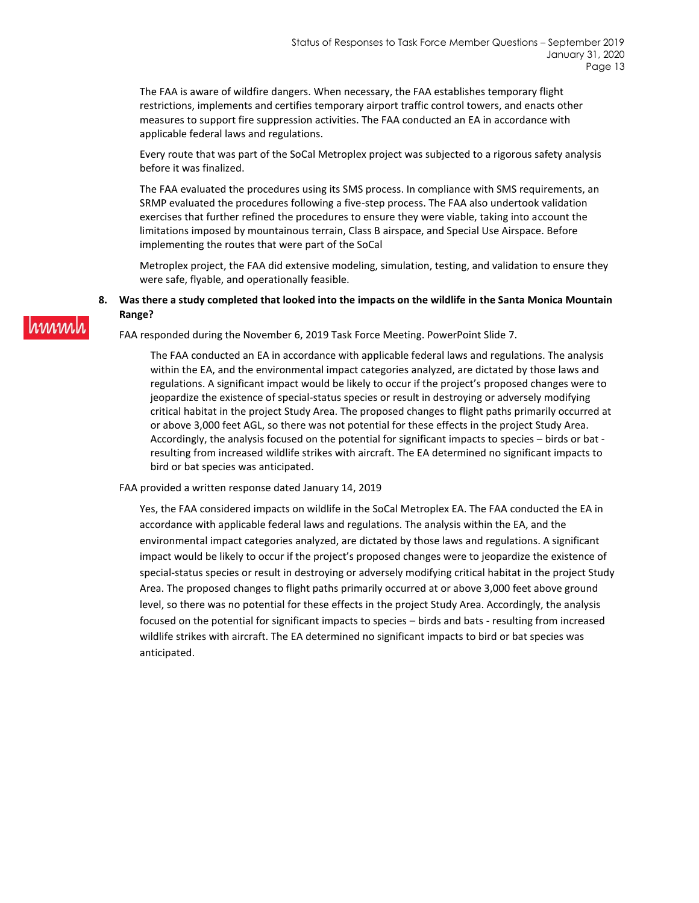The FAA is aware of wildfire dangers. When necessary, the FAA establishes temporary flight restrictions, implements and certifies temporary airport traffic control towers, and enacts other measures to support fire suppression activities. The FAA conducted an EA in accordance with applicable federal laws and regulations.

Every route that was part of the SoCal Metroplex project was subjected to a rigorous safety analysis before it was finalized.

The FAA evaluated the procedures using its SMS process. In compliance with SMS requirements, an SRMP evaluated the procedures following a five-step process. The FAA also undertook validation exercises that further refined the procedures to ensure they were viable, taking into account the limitations imposed by mountainous terrain, Class B airspace, and Special Use Airspace. Before implementing the routes that were part of the SoCal

Metroplex project, the FAA did extensive modeling, simulation, testing, and validation to ensure they were safe, flyable, and operationally feasible.

### **8. Was there a study completed that looked into the impacts on the wildlife in the Santa Monica Mountain Range?**

FAA responded during the November 6, 2019 Task Force Meeting. PowerPoint Slide 7.

The FAA conducted an EA in accordance with applicable federal laws and regulations. The analysis within the EA, and the environmental impact categories analyzed, are dictated by those laws and regulations. A significant impact would be likely to occur if the project's proposed changes were to jeopardize the existence of special-status species or result in destroying or adversely modifying critical habitat in the project Study Area. The proposed changes to flight paths primarily occurred at or above 3,000 feet AGL, so there was not potential for these effects in the project Study Area. Accordingly, the analysis focused on the potential for significant impacts to species – birds or bat resulting from increased wildlife strikes with aircraft. The EA determined no significant impacts to bird or bat species was anticipated.

FAA provided a written response dated January 14, 2019

Yes, the FAA considered impacts on wildlife in the SoCal Metroplex EA. The FAA conducted the EA in accordance with applicable federal laws and regulations. The analysis within the EA, and the environmental impact categories analyzed, are dictated by those laws and regulations. A significant impact would be likely to occur if the project's proposed changes were to jeopardize the existence of special-status species or result in destroying or adversely modifying critical habitat in the project Study Area. The proposed changes to flight paths primarily occurred at or above 3,000 feet above ground level, so there was no potential for these effects in the project Study Area. Accordingly, the analysis focused on the potential for significant impacts to species – birds and bats - resulting from increased wildlife strikes with aircraft. The EA determined no significant impacts to bird or bat species was anticipated.

**MMMM**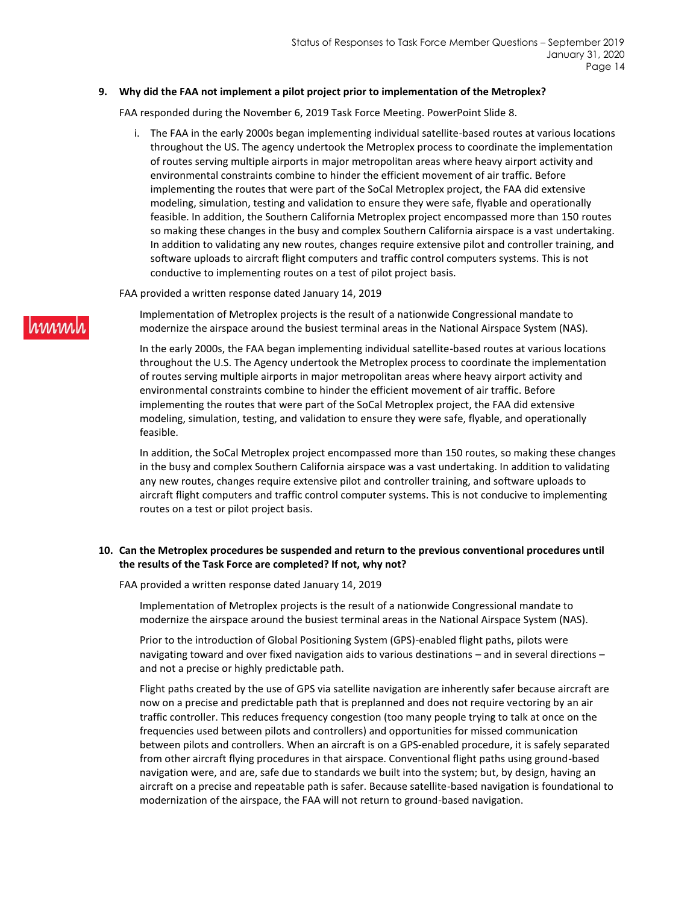#### **9. Why did the FAA not implement a pilot project prior to implementation of the Metroplex?**

FAA responded during the November 6, 2019 Task Force Meeting. PowerPoint Slide 8.

i. The FAA in the early 2000s began implementing individual satellite-based routes at various locations throughout the US. The agency undertook the Metroplex process to coordinate the implementation of routes serving multiple airports in major metropolitan areas where heavy airport activity and environmental constraints combine to hinder the efficient movement of air traffic. Before implementing the routes that were part of the SoCal Metroplex project, the FAA did extensive modeling, simulation, testing and validation to ensure they were safe, flyable and operationally feasible. In addition, the Southern California Metroplex project encompassed more than 150 routes so making these changes in the busy and complex Southern California airspace is a vast undertaking. In addition to validating any new routes, changes require extensive pilot and controller training, and software uploads to aircraft flight computers and traffic control computers systems. This is not conductive to implementing routes on a test of pilot project basis.

### FAA provided a written response dated January 14, 2019

Implementation of Metroplex projects is the result of a nationwide Congressional mandate to modernize the airspace around the busiest terminal areas in the National Airspace System (NAS).

In the early 2000s, the FAA began implementing individual satellite-based routes at various locations throughout the U.S. The Agency undertook the Metroplex process to coordinate the implementation of routes serving multiple airports in major metropolitan areas where heavy airport activity and environmental constraints combine to hinder the efficient movement of air traffic. Before implementing the routes that were part of the SoCal Metroplex project, the FAA did extensive modeling, simulation, testing, and validation to ensure they were safe, flyable, and operationally feasible.

In addition, the SoCal Metroplex project encompassed more than 150 routes, so making these changes in the busy and complex Southern California airspace was a vast undertaking. In addition to validating any new routes, changes require extensive pilot and controller training, and software uploads to aircraft flight computers and traffic control computer systems. This is not conducive to implementing routes on a test or pilot project basis.

### **10. Can the Metroplex procedures be suspended and return to the previous conventional procedures until the results of the Task Force are completed? If not, why not?**

FAA provided a written response dated January 14, 2019

Implementation of Metroplex projects is the result of a nationwide Congressional mandate to modernize the airspace around the busiest terminal areas in the National Airspace System (NAS).

Prior to the introduction of Global Positioning System (GPS)-enabled flight paths, pilots were navigating toward and over fixed navigation aids to various destinations – and in several directions – and not a precise or highly predictable path.

Flight paths created by the use of GPS via satellite navigation are inherently safer because aircraft are now on a precise and predictable path that is preplanned and does not require vectoring by an air traffic controller. This reduces frequency congestion (too many people trying to talk at once on the frequencies used between pilots and controllers) and opportunities for missed communication between pilots and controllers. When an aircraft is on a GPS-enabled procedure, it is safely separated from other aircraft flying procedures in that airspace. Conventional flight paths using ground-based navigation were, and are, safe due to standards we built into the system; but, by design, having an aircraft on a precise and repeatable path is safer. Because satellite-based navigation is foundational to modernization of the airspace, the FAA will not return to ground-based navigation.

# **MWW**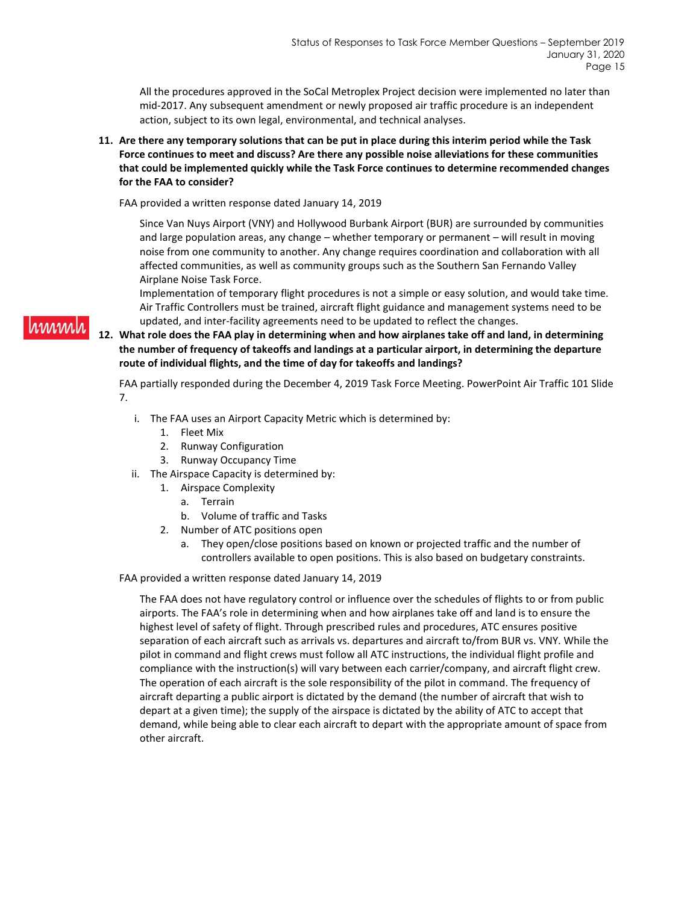All the procedures approved in the SoCal Metroplex Project decision were implemented no later than mid-2017. Any subsequent amendment or newly proposed air traffic procedure is an independent action, subject to its own legal, environmental, and technical analyses.

**11. Are there any temporary solutions that can be put in place during this interim period while the Task Force continues to meet and discuss? Are there any possible noise alleviations for these communities that could be implemented quickly while the Task Force continues to determine recommended changes for the FAA to consider?**

FAA provided a written response dated January 14, 2019

Since Van Nuys Airport (VNY) and Hollywood Burbank Airport (BUR) are surrounded by communities and large population areas, any change – whether temporary or permanent – will result in moving noise from one community to another. Any change requires coordination and collaboration with all affected communities, as well as community groups such as the Southern San Fernando Valley Airplane Noise Task Force.

Implementation of temporary flight procedures is not a simple or easy solution, and would take time. Air Traffic Controllers must be trained, aircraft flight guidance and management systems need to be updated, and inter-facility agreements need to be updated to reflect the changes.

**12. What role does the FAA play in determining when and how airplanes take off and land, in determining the number of frequency of takeoffs and landings at a particular airport, in determining the departure route of individual flights, and the time of day for takeoffs and landings?**

FAA partially responded during the December 4, 2019 Task Force Meeting. PowerPoint Air Traffic 101 Slide 7.

- i. The FAA uses an Airport Capacity Metric which is determined by:
	- 1. Fleet Mix
	- 2. Runway Configuration
	- 3. Runway Occupancy Time
- ii. The Airspace Capacity is determined by:
	- 1. Airspace Complexity
		- a. Terrain
		- b. Volume of traffic and Tasks
	- 2. Number of ATC positions open
		- a. They open/close positions based on known or projected traffic and the number of controllers available to open positions. This is also based on budgetary constraints.

#### FAA provided a written response dated January 14, 2019

The FAA does not have regulatory control or influence over the schedules of flights to or from public airports. The FAA's role in determining when and how airplanes take off and land is to ensure the highest level of safety of flight. Through prescribed rules and procedures, ATC ensures positive separation of each aircraft such as arrivals vs. departures and aircraft to/from BUR vs. VNY. While the pilot in command and flight crews must follow all ATC instructions, the individual flight profile and compliance with the instruction(s) will vary between each carrier/company, and aircraft flight crew. The operation of each aircraft is the sole responsibility of the pilot in command. The frequency of aircraft departing a public airport is dictated by the demand (the number of aircraft that wish to depart at a given time); the supply of the airspace is dictated by the ability of ATC to accept that demand, while being able to clear each aircraft to depart with the appropriate amount of space from other aircraft.

# hmmh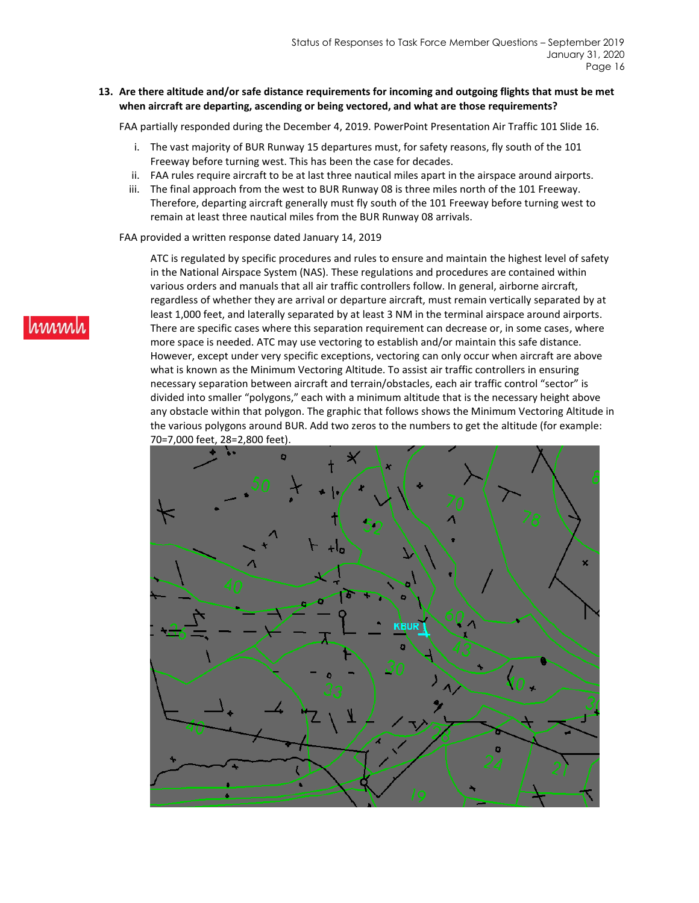### **13. Are there altitude and/or safe distance requirements for incoming and outgoing flights that must be met when aircraft are departing, ascending or being vectored, and what are those requirements?**

FAA partially responded during the December 4, 2019. PowerPoint Presentation Air Traffic 101 Slide 16.

- i. The vast majority of BUR Runway 15 departures must, for safety reasons, fly south of the 101 Freeway before turning west. This has been the case for decades.
- ii. FAA rules require aircraft to be at last three nautical miles apart in the airspace around airports.
- iii. The final approach from the west to BUR Runway 08 is three miles north of the 101 Freeway. Therefore, departing aircraft generally must fly south of the 101 Freeway before turning west to remain at least three nautical miles from the BUR Runway 08 arrivals.

FAA provided a written response dated January 14, 2019

ATC is regulated by specific procedures and rules to ensure and maintain the highest level of safety in the National Airspace System (NAS). These regulations and procedures are contained within various orders and manuals that all air traffic controllers follow. In general, airborne aircraft, regardless of whether they are arrival or departure aircraft, must remain vertically separated by at least 1,000 feet, and laterally separated by at least 3 NM in the terminal airspace around airports. There are specific cases where this separation requirement can decrease or, in some cases, where more space is needed. ATC may use vectoring to establish and/or maintain this safe distance. However, except under very specific exceptions, vectoring can only occur when aircraft are above what is known as the Minimum Vectoring Altitude. To assist air traffic controllers in ensuring necessary separation between aircraft and terrain/obstacles, each air traffic control "sector" is divided into smaller "polygons," each with a minimum altitude that is the necessary height above any obstacle within that polygon. The graphic that follows shows the Minimum Vectoring Altitude in the various polygons around BUR. Add two zeros to the numbers to get the altitude (for example: 70=7,000 feet, 28=2,800 feet).



# rwww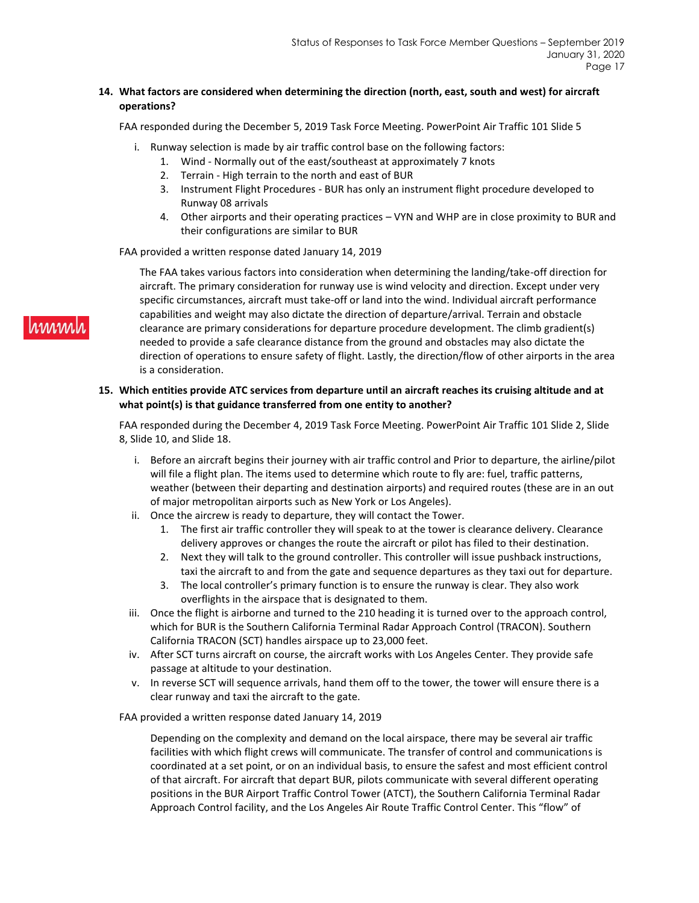### **14. What factors are considered when determining the direction (north, east, south and west) for aircraft operations?**

FAA responded during the December 5, 2019 Task Force Meeting. PowerPoint Air Traffic 101 Slide 5

- i. Runway selection is made by air traffic control base on the following factors:
	- 1. Wind Normally out of the east/southeast at approximately 7 knots
		- 2. Terrain High terrain to the north and east of BUR
		- 3. Instrument Flight Procedures BUR has only an instrument flight procedure developed to Runway 08 arrivals
		- 4. Other airports and their operating practices VYN and WHP are in close proximity to BUR and their configurations are similar to BUR

#### FAA provided a written response dated January 14, 2019

The FAA takes various factors into consideration when determining the landing/take-off direction for aircraft. The primary consideration for runway use is wind velocity and direction. Except under very specific circumstances, aircraft must take-off or land into the wind. Individual aircraft performance capabilities and weight may also dictate the direction of departure/arrival. Terrain and obstacle clearance are primary considerations for departure procedure development. The climb gradient(s) needed to provide a safe clearance distance from the ground and obstacles may also dictate the direction of operations to ensure safety of flight. Lastly, the direction/flow of other airports in the area is a consideration.

### **15. Which entities provide ATC services from departure until an aircraft reaches its cruising altitude and at what point(s) is that guidance transferred from one entity to another?**

FAA responded during the December 4, 2019 Task Force Meeting. PowerPoint Air Traffic 101 Slide 2, Slide 8, Slide 10, and Slide 18.

- i. Before an aircraft begins their journey with air traffic control and Prior to departure, the airline/pilot will file a flight plan. The items used to determine which route to fly are: fuel, traffic patterns, weather (between their departing and destination airports) and required routes (these are in an out of major metropolitan airports such as New York or Los Angeles).
- ii. Once the aircrew is ready to departure, they will contact the Tower.
	- 1. The first air traffic controller they will speak to at the tower is clearance delivery. Clearance delivery approves or changes the route the aircraft or pilot has filed to their destination.
	- 2. Next they will talk to the ground controller. This controller will issue pushback instructions, taxi the aircraft to and from the gate and sequence departures as they taxi out for departure.
	- 3. The local controller's primary function is to ensure the runway is clear. They also work overflights in the airspace that is designated to them.
- iii. Once the flight is airborne and turned to the 210 heading it is turned over to the approach control, which for BUR is the Southern California Terminal Radar Approach Control (TRACON). Southern California TRACON (SCT) handles airspace up to 23,000 feet.
- iv. After SCT turns aircraft on course, the aircraft works with Los Angeles Center. They provide safe passage at altitude to your destination.
- v. In reverse SCT will sequence arrivals, hand them off to the tower, the tower will ensure there is a clear runway and taxi the aircraft to the gate.

#### FAA provided a written response dated January 14, 2019

Depending on the complexity and demand on the local airspace, there may be several air traffic facilities with which flight crews will communicate. The transfer of control and communications is coordinated at a set point, or on an individual basis, to ensure the safest and most efficient control of that aircraft. For aircraft that depart BUR, pilots communicate with several different operating positions in the BUR Airport Traffic Control Tower (ATCT), the Southern California Terminal Radar Approach Control facility, and the Los Angeles Air Route Traffic Control Center. This "flow" of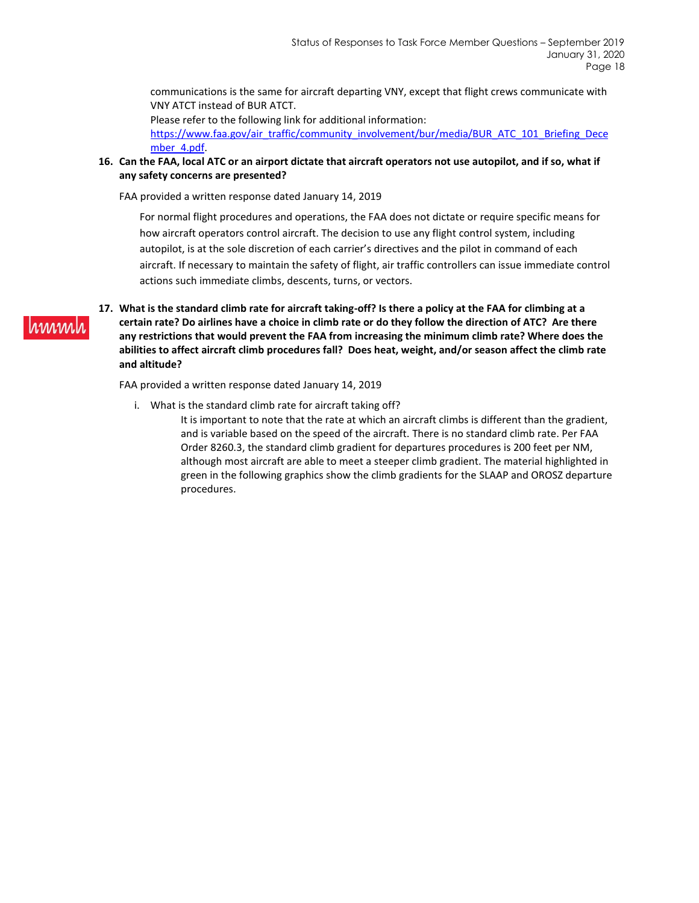communications is the same for aircraft departing VNY, except that flight crews communicate with VNY ATCT instead of BUR ATCT.

Please refer to the following link for additional information:

[https://www.faa.gov/air\\_traffic/community\\_involvement/bur/media/BUR\\_ATC\\_101\\_Briefing\\_Dece](https://www.faa.gov/air_traffic/community_involvement/bur/media/BUR_ATC_101_Briefing_December_4.pdf) mber 4.pdf.

### **16. Can the FAA, local ATC or an airport dictate that aircraft operators not use autopilot, and if so, what if any safety concerns are presented?**

FAA provided a written response dated January 14, 2019

For normal flight procedures and operations, the FAA does not dictate or require specific means for how aircraft operators control aircraft. The decision to use any flight control system, including autopilot, is at the sole discretion of each carrier's directives and the pilot in command of each aircraft. If necessary to maintain the safety of flight, air traffic controllers can issue immediate control actions such immediate climbs, descents, turns, or vectors.

### **17. What is the standard climb rate for aircraft taking-off? Is there a policy at the FAA for climbing at a certain rate? Do airlines have a choice in climb rate or do they follow the direction of ATC? Are there any restrictions that would prevent the FAA from increasing the minimum climb rate? Where does the abilities to affect aircraft climb procedures fall? Does heat, weight, and/or season affect the climb rate and altitude?**

FAA provided a written response dated January 14, 2019

hinnin

i. What is the standard climb rate for aircraft taking off? It is important to note that the rate at which an aircraft climbs is different than the gradient, and is variable based on the speed of the aircraft. There is no standard climb rate. Per FAA Order 8260.3, the standard climb gradient for departures procedures is 200 feet per NM, although most aircraft are able to meet a steeper climb gradient. The material highlighted in green in the following graphics show the climb gradients for the SLAAP and OROSZ departure procedures.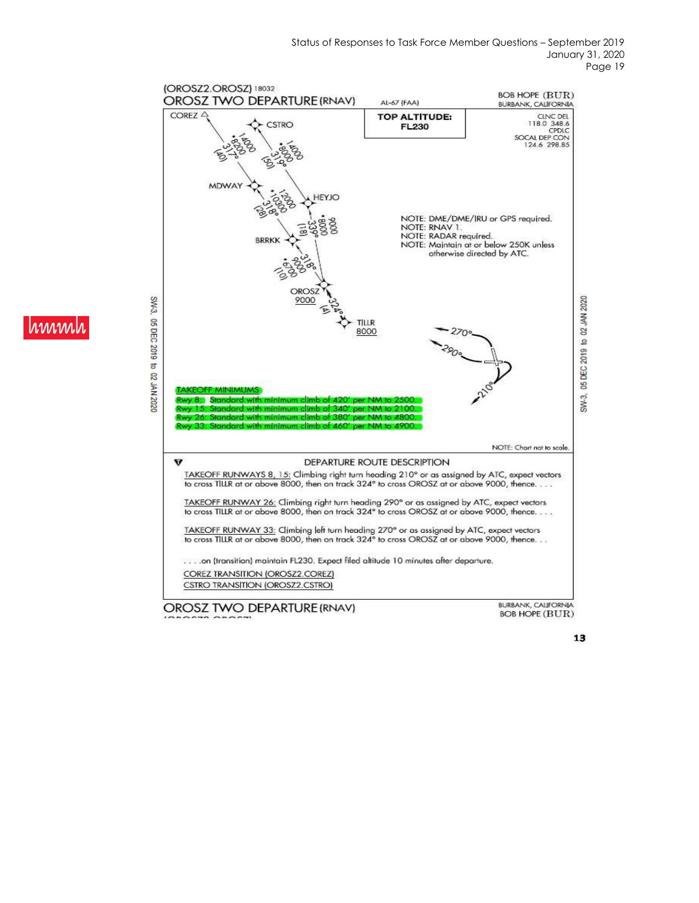

hmm

13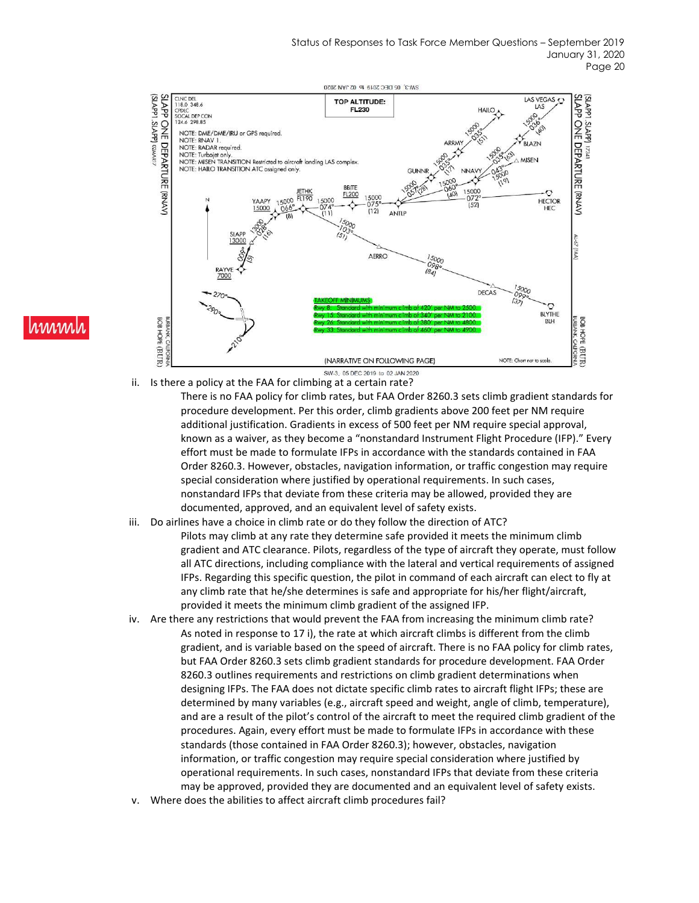

# www

ii. Is there a policy at the FAA for climbing at a certain rate?

There is no FAA policy for climb rates, but FAA Order 8260.3 sets climb gradient standards for procedure development. Per this order, climb gradients above 200 feet per NM require additional justification. Gradients in excess of 500 feet per NM require special approval, known as a waiver, as they become a "nonstandard Instrument Flight Procedure (IFP)." Every effort must be made to formulate IFPs in accordance with the standards contained in FAA Order 8260.3. However, obstacles, navigation information, or traffic congestion may require special consideration where justified by operational requirements. In such cases, nonstandard IFPs that deviate from these criteria may be allowed, provided they are documented, approved, and an equivalent level of safety exists.

- iii. Do airlines have a choice in climb rate or do they follow the direction of ATC? Pilots may climb at any rate they determine safe provided it meets the minimum climb gradient and ATC clearance. Pilots, regardless of the type of aircraft they operate, must follow all ATC directions, including compliance with the lateral and vertical requirements of assigned IFPs. Regarding this specific question, the pilot in command of each aircraft can elect to fly at any climb rate that he/she determines is safe and appropriate for his/her flight/aircraft, provided it meets the minimum climb gradient of the assigned IFP.
- iv. Are there any restrictions that would prevent the FAA from increasing the minimum climb rate? As noted in response to 17 i), the rate at which aircraft climbs is different from the climb gradient, and is variable based on the speed of aircraft. There is no FAA policy for climb rates, but FAA Order 8260.3 sets climb gradient standards for procedure development. FAA Order 8260.3 outlines requirements and restrictions on climb gradient determinations when designing IFPs. The FAA does not dictate specific climb rates to aircraft flight IFPs; these are determined by many variables (e.g., aircraft speed and weight, angle of climb, temperature), and are a result of the pilot's control of the aircraft to meet the required climb gradient of the procedures. Again, every effort must be made to formulate IFPs in accordance with these standards (those contained in FAA Order 8260.3); however, obstacles, navigation information, or traffic congestion may require special consideration where justified by operational requirements. In such cases, nonstandard IFPs that deviate from these criteria may be approved, provided they are documented and an equivalent level of safety exists.
- Where does the abilities to affect aircraft climb procedures fail?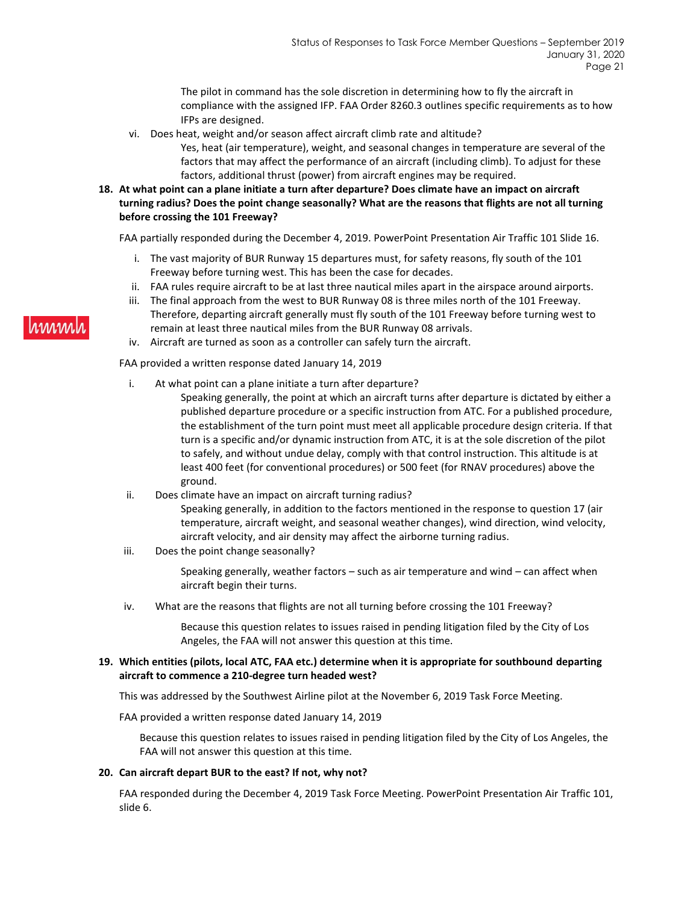The pilot in command has the sole discretion in determining how to fly the aircraft in compliance with the assigned IFP. FAA Order 8260.3 outlines specific requirements as to how IFPs are designed.

- vi. Does heat, weight and/or season affect aircraft climb rate and altitude?
	- Yes, heat (air temperature), weight, and seasonal changes in temperature are several of the factors that may affect the performance of an aircraft (including climb). To adjust for these factors, additional thrust (power) from aircraft engines may be required.
- **18. At what point can a plane initiate a turn after departure? Does climate have an impact on aircraft turning radius? Does the point change seasonally? What are the reasons that flights are not all turning before crossing the 101 Freeway?**

FAA partially responded during the December 4, 2019. PowerPoint Presentation Air Traffic 101 Slide 16.

- i. The vast majority of BUR Runway 15 departures must, for safety reasons, fly south of the 101 Freeway before turning west. This has been the case for decades.
- ii. FAA rules require aircraft to be at last three nautical miles apart in the airspace around airports.
- iii. The final approach from the west to BUR Runway 08 is three miles north of the 101 Freeway. Therefore, departing aircraft generally must fly south of the 101 Freeway before turning west to remain at least three nautical miles from the BUR Runway 08 arrivals.
- iv. Aircraft are turned as soon as a controller can safely turn the aircraft.

FAA provided a written response dated January 14, 2019

- i. At what point can a plane initiate a turn after departure?
	- Speaking generally, the point at which an aircraft turns after departure is dictated by either a published departure procedure or a specific instruction from ATC. For a published procedure, the establishment of the turn point must meet all applicable procedure design criteria. If that turn is a specific and/or dynamic instruction from ATC, it is at the sole discretion of the pilot to safely, and without undue delay, comply with that control instruction. This altitude is at least 400 feet (for conventional procedures) or 500 feet (for RNAV procedures) above the ground.
- ii. Does climate have an impact on aircraft turning radius?

Speaking generally, in addition to the factors mentioned in the response to question 17 (air temperature, aircraft weight, and seasonal weather changes), wind direction, wind velocity, aircraft velocity, and air density may affect the airborne turning radius.

iii. Does the point change seasonally?

Speaking generally, weather factors – such as air temperature and wind – can affect when aircraft begin their turns.

iv. What are the reasons that flights are not all turning before crossing the 101 Freeway?

Because this question relates to issues raised in pending litigation filed by the City of Los Angeles, the FAA will not answer this question at this time.

### **19. Which entities (pilots, local ATC, FAA etc.) determine when it is appropriate for southbound departing aircraft to commence a 210-degree turn headed west?**

This was addressed by the Southwest Airline pilot at the November 6, 2019 Task Force Meeting.

FAA provided a written response dated January 14, 2019

Because this question relates to issues raised in pending litigation filed by the City of Los Angeles, the FAA will not answer this question at this time.

### **20. Can aircraft depart BUR to the east? If not, why not?**

FAA responded during the December 4, 2019 Task Force Meeting. PowerPoint Presentation Air Traffic 101, slide 6.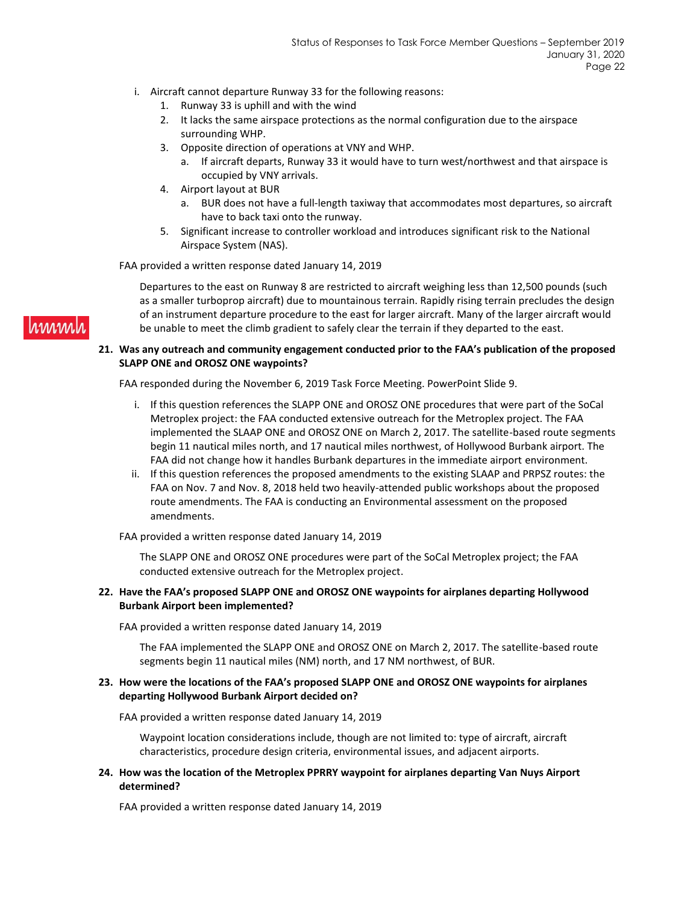- i. Aircraft cannot departure Runway 33 for the following reasons:
	- 1. Runway 33 is uphill and with the wind
	- 2. It lacks the same airspace protections as the normal configuration due to the airspace surrounding WHP.
	- 3. Opposite direction of operations at VNY and WHP.
		- a. If aircraft departs, Runway 33 it would have to turn west/northwest and that airspace is occupied by VNY arrivals.
	- 4. Airport layout at BUR
		- a. BUR does not have a full-length taxiway that accommodates most departures, so aircraft have to back taxi onto the runway.
	- 5. Significant increase to controller workload and introduces significant risk to the National Airspace System (NAS).

FAA provided a written response dated January 14, 2019

Departures to the east on Runway 8 are restricted to aircraft weighing less than 12,500 pounds (such as a smaller turboprop aircraft) due to mountainous terrain. Rapidly rising terrain precludes the design of an instrument departure procedure to the east for larger aircraft. Many of the larger aircraft would be unable to meet the climb gradient to safely clear the terrain if they departed to the east.

### **21. Was any outreach and community engagement conducted prior to the FAA's publication of the proposed SLAPP ONE and OROSZ ONE waypoints?**

FAA responded during the November 6, 2019 Task Force Meeting. PowerPoint Slide 9.

- i. If this question references the SLAPP ONE and OROSZ ONE procedures that were part of the SoCal Metroplex project: the FAA conducted extensive outreach for the Metroplex project. The FAA implemented the SLAAP ONE and OROSZ ONE on March 2, 2017. The satellite-based route segments begin 11 nautical miles north, and 17 nautical miles northwest, of Hollywood Burbank airport. The FAA did not change how it handles Burbank departures in the immediate airport environment.
- ii. If this question references the proposed amendments to the existing SLAAP and PRPSZ routes: the FAA on Nov. 7 and Nov. 8, 2018 held two heavily-attended public workshops about the proposed route amendments. The FAA is conducting an Environmental assessment on the proposed amendments.

FAA provided a written response dated January 14, 2019

The SLAPP ONE and OROSZ ONE procedures were part of the SoCal Metroplex project; the FAA conducted extensive outreach for the Metroplex project.

### **22. Have the FAA's proposed SLAPP ONE and OROSZ ONE waypoints for airplanes departing Hollywood Burbank Airport been implemented?**

FAA provided a written response dated January 14, 2019

The FAA implemented the SLAPP ONE and OROSZ ONE on March 2, 2017. The satellite-based route segments begin 11 nautical miles (NM) north, and 17 NM northwest, of BUR.

### **23. How were the locations of the FAA's proposed SLAPP ONE and OROSZ ONE waypoints for airplanes departing Hollywood Burbank Airport decided on?**

FAA provided a written response dated January 14, 2019

Waypoint location considerations include, though are not limited to: type of aircraft, aircraft characteristics, procedure design criteria, environmental issues, and adjacent airports.

**24. How was the location of the Metroplex PPRRY waypoint for airplanes departing Van Nuys Airport determined?**

FAA provided a written response dated January 14, 2019

# hmmh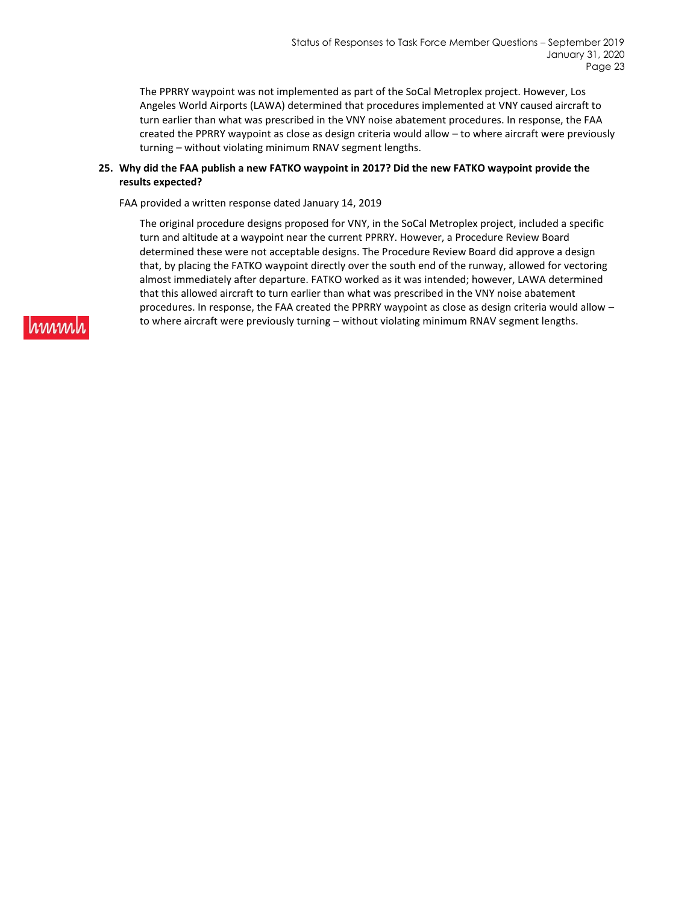The PPRRY waypoint was not implemented as part of the SoCal Metroplex project. However, Los Angeles World Airports (LAWA) determined that procedures implemented at VNY caused aircraft to turn earlier than what was prescribed in the VNY noise abatement procedures. In response, the FAA created the PPRRY waypoint as close as design criteria would allow – to where aircraft were previously turning – without violating minimum RNAV segment lengths.

### **25. Why did the FAA publish a new FATKO waypoint in 2017? Did the new FATKO waypoint provide the results expected?**

FAA provided a written response dated January 14, 2019

The original procedure designs proposed for VNY, in the SoCal Metroplex project, included a specific turn and altitude at a waypoint near the current PPRRY. However, a Procedure Review Board determined these were not acceptable designs. The Procedure Review Board did approve a design that, by placing the FATKO waypoint directly over the south end of the runway, allowed for vectoring almost immediately after departure. FATKO worked as it was intended; however, LAWA determined that this allowed aircraft to turn earlier than what was prescribed in the VNY noise abatement procedures. In response, the FAA created the PPRRY waypoint as close as design criteria would allow – to where aircraft were previously turning – without violating minimum RNAV segment lengths.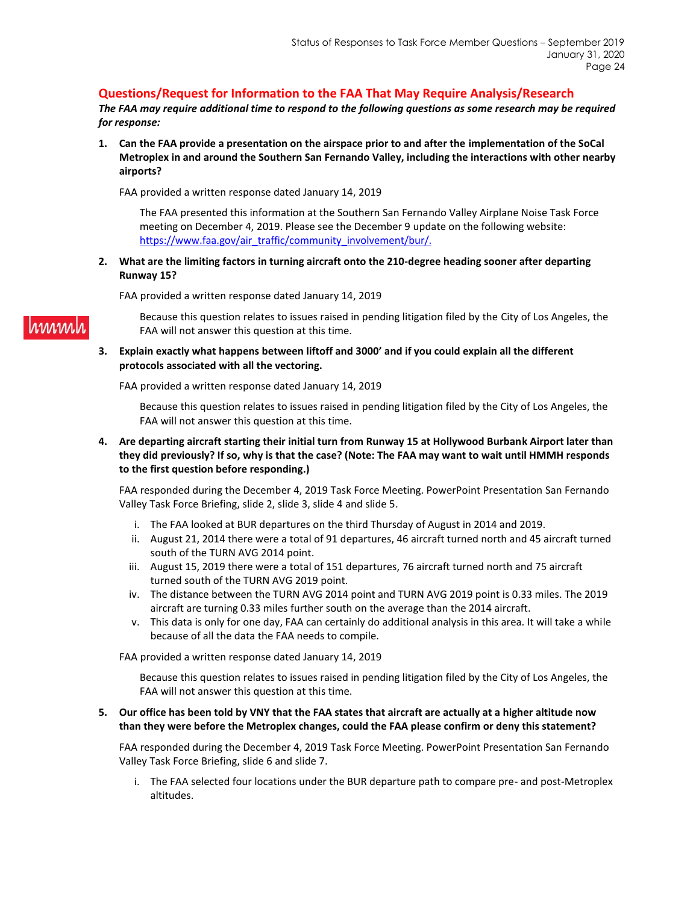### **Questions/Request for Information to the FAA That May Require Analysis/Research**

*The FAA may require additional time to respond to the following questions as some research may be required for response:*

**1. Can the FAA provide a presentation on the airspace prior to and after the implementation of the SoCal Metroplex in and around the Southern San Fernando Valley, including the interactions with other nearby airports?**

FAA provided a written response dated January 14, 2019

The FAA presented this information at the Southern San Fernando Valley Airplane Noise Task Force meeting on December 4, 2019. Please see the December 9 update on the following website: [https://www.faa.gov/air\\_traffic/community\\_involvement/bur/.](https://www.faa.gov/air_traffic/community_involvement/bur/)

**2. What are the limiting factors in turning aircraft onto the 210-degree heading sooner after departing Runway 15?**

FAA provided a written response dated January 14, 2019

Because this question relates to issues raised in pending litigation filed by the City of Los Angeles, the FAA will not answer this question at this time.

**3. Explain exactly what happens between liftoff and 3000' and if you could explain all the different protocols associated with all the vectoring.**

FAA provided a written response dated January 14, 2019

Because this question relates to issues raised in pending litigation filed by the City of Los Angeles, the FAA will not answer this question at this time.

**4. Are departing aircraft starting their initial turn from Runway 15 at Hollywood Burbank Airport later than they did previously? If so, why is that the case? (Note: The FAA may want to wait until HMMH responds to the first question before responding.)**

FAA responded during the December 4, 2019 Task Force Meeting. PowerPoint Presentation San Fernando Valley Task Force Briefing, slide 2, slide 3, slide 4 and slide 5.

- i. The FAA looked at BUR departures on the third Thursday of August in 2014 and 2019.
- ii. August 21, 2014 there were a total of 91 departures, 46 aircraft turned north and 45 aircraft turned south of the TURN AVG 2014 point.
- iii. August 15, 2019 there were a total of 151 departures, 76 aircraft turned north and 75 aircraft turned south of the TURN AVG 2019 point.
- iv. The distance between the TURN AVG 2014 point and TURN AVG 2019 point is 0.33 miles. The 2019 aircraft are turning 0.33 miles further south on the average than the 2014 aircraft.
- v. This data is only for one day, FAA can certainly do additional analysis in this area. It will take a while because of all the data the FAA needs to compile.

FAA provided a written response dated January 14, 2019

Because this question relates to issues raised in pending litigation filed by the City of Los Angeles, the FAA will not answer this question at this time.

**5. Our office has been told by VNY that the FAA states that aircraft are actually at a higher altitude now than they were before the Metroplex changes, could the FAA please confirm or deny this statement?**

FAA responded during the December 4, 2019 Task Force Meeting. PowerPoint Presentation San Fernando Valley Task Force Briefing, slide 6 and slide 7.

i. The FAA selected four locations under the BUR departure path to compare pre- and post-Metroplex altitudes.

hinni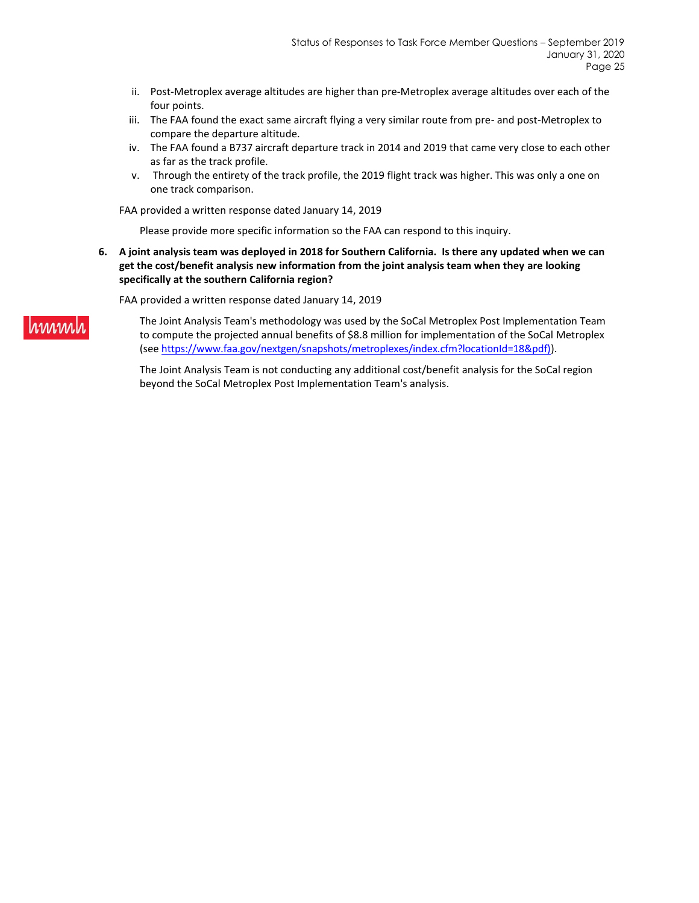- ii. Post-Metroplex average altitudes are higher than pre-Metroplex average altitudes over each of the four points.
- iii. The FAA found the exact same aircraft flying a very similar route from pre- and post-Metroplex to compare the departure altitude.
- iv. The FAA found a B737 aircraft departure track in 2014 and 2019 that came very close to each other as far as the track profile.
- v. Through the entirety of the track profile, the 2019 flight track was higher. This was only a one on one track comparison.

FAA provided a written response dated January 14, 2019

Please provide more specific information so the FAA can respond to this inquiry.

**6. A joint analysis team was deployed in 2018 for Southern California. Is there any updated when we can get the cost/benefit analysis new information from the joint analysis team when they are looking specifically at the southern California region?**

FAA provided a written response dated January 14, 2019

hmm

The Joint Analysis Team's methodology was used by the SoCal Metroplex Post Implementation Team to compute the projected annual benefits of \$8.8 million for implementation of the SoCal Metroplex (se[e https://www.faa.gov/nextgen/snapshots/metroplexes/index.cfm?locationId=18&pdf\)\)](https://www.faa.gov/nextgen/snapshots/metroplexes/index.cfm?locationId=18&pdf)).

The Joint Analysis Team is not conducting any additional cost/benefit analysis for the SoCal region beyond the SoCal Metroplex Post Implementation Team's analysis.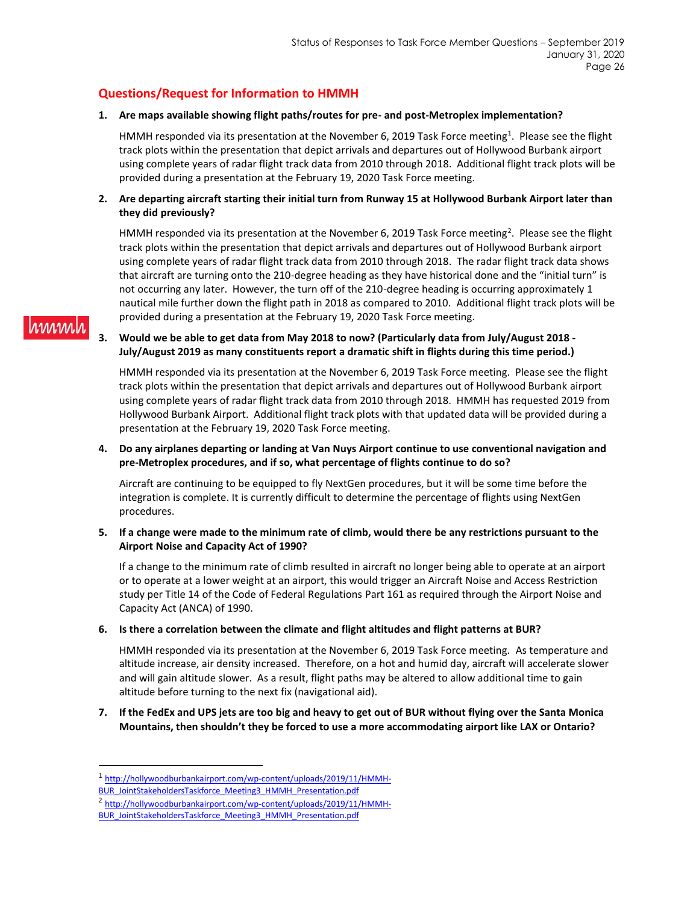### **Questions/Request for Information to HMMH**

hinnih

### **1. Are maps available showing flight paths/routes for pre- and post-Metroplex implementation?**

HMMH responded via its presentation at the November 6, 2019 Task Force meeting<sup>1</sup>. Please see the flight track plots within the presentation that depict arrivals and departures out of Hollywood Burbank airport using complete years of radar flight track data from 2010 through 2018. Additional flight track plots will be provided during a presentation at the February 19, 2020 Task Force meeting.

### **2. Are departing aircraft starting their initial turn from Runway 15 at Hollywood Burbank Airport later than they did previously?**

HMMH responded via its presentation at the November 6, 2019 Task Force meeting<sup>2</sup>. Please see the flight track plots within the presentation that depict arrivals and departures out of Hollywood Burbank airport using complete years of radar flight track data from 2010 through 2018. The radar flight track data shows that aircraft are turning onto the 210-degree heading as they have historical done and the "initial turn" is not occurring any later. However, the turn off of the 210-degree heading is occurring approximately 1 nautical mile further down the flight path in 2018 as compared to 2010. Additional flight track plots will be provided during a presentation at the February 19, 2020 Task Force meeting.

### **3. Would we be able to get data from May 2018 to now? (Particularly data from July/August 2018 - July/August 2019 as many constituents report a dramatic shift in flights during this time period.)**

HMMH responded via its presentation at the November 6, 2019 Task Force meeting. Please see the flight track plots within the presentation that depict arrivals and departures out of Hollywood Burbank airport using complete years of radar flight track data from 2010 through 2018. HMMH has requested 2019 from Hollywood Burbank Airport. Additional flight track plots with that updated data will be provided during a presentation at the February 19, 2020 Task Force meeting.

### **4. Do any airplanes departing or landing at Van Nuys Airport continue to use conventional navigation and pre-Metroplex procedures, and if so, what percentage of flights continue to do so?**

Aircraft are continuing to be equipped to fly NextGen procedures, but it will be some time before the integration is complete. It is currently difficult to determine the percentage of flights using NextGen procedures.

### **5. If a change were made to the minimum rate of climb, would there be any restrictions pursuant to the Airport Noise and Capacity Act of 1990?**

If a change to the minimum rate of climb resulted in aircraft no longer being able to operate at an airport or to operate at a lower weight at an airport, this would trigger an Aircraft Noise and Access Restriction study per Title 14 of the Code of Federal Regulations Part 161 as required through the Airport Noise and Capacity Act (ANCA) of 1990.

### **6. Is there a correlation between the climate and flight altitudes and flight patterns at BUR?**

HMMH responded via its presentation at the November 6, 2019 Task Force meeting. As temperature and altitude increase, air density increased. Therefore, on a hot and humid day, aircraft will accelerate slower and will gain altitude slower. As a result, flight paths may be altered to allow additional time to gain altitude before turning to the next fix (navigational aid).

### **7. If the FedEx and UPS jets are too big and heavy to get out of BUR without flying over the Santa Monica Mountains, then shouldn't they be forced to use a more accommodating airport like LAX or Ontario?**

<sup>1</sup> [http://hollywoodburbankairport.com/wp-content/uploads/2019/11/HMMH-](http://hollywoodburbankairport.com/wp-content/uploads/2019/11/HMMH-BUR_JointStakeholdersTaskforce_Meeting3_HMMH_Presentation.pdf)

[BUR\\_JointStakeholdersTaskforce\\_Meeting3\\_HMMH\\_Presentation.pdf](http://hollywoodburbankairport.com/wp-content/uploads/2019/11/HMMH-BUR_JointStakeholdersTaskforce_Meeting3_HMMH_Presentation.pdf)

<sup>&</sup>lt;sup>2</sup> [http://hollywoodburbankairport.com/wp-content/uploads/2019/11/HMMH-](http://hollywoodburbankairport.com/wp-content/uploads/2019/11/HMMH-BUR_JointStakeholdersTaskforce_Meeting3_HMMH_Presentation.pdf)

[BUR\\_JointStakeholdersTaskforce\\_Meeting3\\_HMMH\\_Presentation.pdf](http://hollywoodburbankairport.com/wp-content/uploads/2019/11/HMMH-BUR_JointStakeholdersTaskforce_Meeting3_HMMH_Presentation.pdf)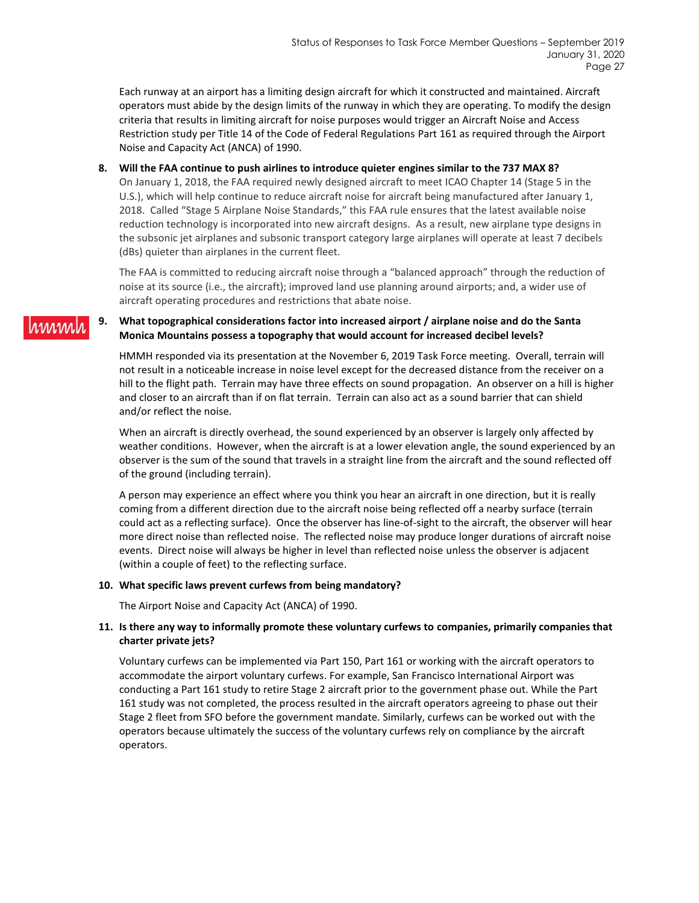Each runway at an airport has a limiting design aircraft for which it constructed and maintained. Aircraft operators must abide by the design limits of the runway in which they are operating. To modify the design criteria that results in limiting aircraft for noise purposes would trigger an Aircraft Noise and Access Restriction study per Title 14 of the Code of Federal Regulations Part 161 as required through the Airport Noise and Capacity Act (ANCA) of 1990.

#### **8. Will the FAA continue to push airlines to introduce quieter engines similar to the 737 MAX 8?**

On January 1, 2018, the FAA required newly designed aircraft to meet ICAO Chapter 14 (Stage 5 in the U.S.), which will help continue to reduce aircraft noise for aircraft being manufactured after January 1, 2018. Called "Stage 5 Airplane Noise Standards," this FAA rule ensures that the latest available noise reduction technology is incorporated into new aircraft designs. As a result, new airplane type designs in the subsonic jet airplanes and subsonic transport category large airplanes will operate at least 7 decibels (dBs) quieter than airplanes in the current fleet.

The FAA is committed to reducing aircraft noise through a "balanced approach" through the reduction of noise at its source (i.e., the aircraft); improved land use planning around airports; and, a wider use of aircraft operating procedures and restrictions that abate noise.

#### **9. What topographical considerations factor into increased airport / airplane noise and do the Santa**  1.1/1/1.1/1 **Monica Mountains possess a topography that would account for increased decibel levels?**

HMMH responded via its presentation at the November 6, 2019 Task Force meeting. Overall, terrain will not result in a noticeable increase in noise level except for the decreased distance from the receiver on a hill to the flight path. Terrain may have three effects on sound propagation. An observer on a hill is higher and closer to an aircraft than if on flat terrain. Terrain can also act as a sound barrier that can shield and/or reflect the noise.

When an aircraft is directly overhead, the sound experienced by an observer is largely only affected by weather conditions. However, when the aircraft is at a lower elevation angle, the sound experienced by an observer is the sum of the sound that travels in a straight line from the aircraft and the sound reflected off of the ground (including terrain).

A person may experience an effect where you think you hear an aircraft in one direction, but it is really coming from a different direction due to the aircraft noise being reflected off a nearby surface (terrain could act as a reflecting surface). Once the observer has line-of-sight to the aircraft, the observer will hear more direct noise than reflected noise. The reflected noise may produce longer durations of aircraft noise events. Direct noise will always be higher in level than reflected noise unless the observer is adjacent (within a couple of feet) to the reflecting surface.

#### **10. What specific laws prevent curfews from being mandatory?**

The Airport Noise and Capacity Act (ANCA) of 1990.

### **11. Is there any way to informally promote these voluntary curfews to companies, primarily companies that charter private jets?**

Voluntary curfews can be implemented via Part 150, Part 161 or working with the aircraft operators to accommodate the airport voluntary curfews. For example, San Francisco International Airport was conducting a Part 161 study to retire Stage 2 aircraft prior to the government phase out. While the Part 161 study was not completed, the process resulted in the aircraft operators agreeing to phase out their Stage 2 fleet from SFO before the government mandate. Similarly, curfews can be worked out with the operators because ultimately the success of the voluntary curfews rely on compliance by the aircraft operators.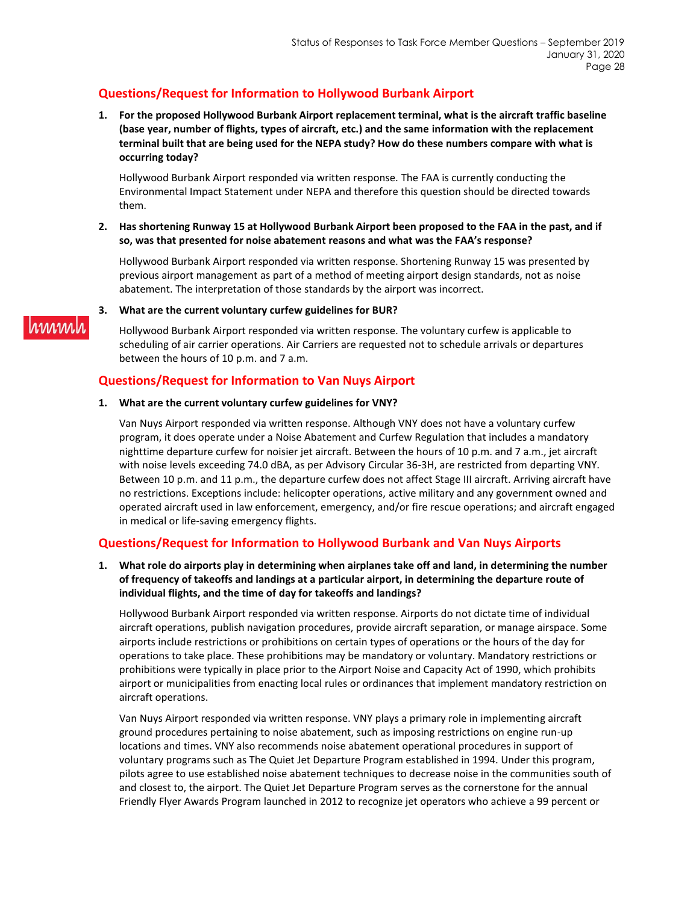## **Questions/Request for Information to Hollywood Burbank Airport**

**1. For the proposed Hollywood Burbank Airport replacement terminal, what is the aircraft traffic baseline (base year, number of flights, types of aircraft, etc.) and the same information with the replacement terminal built that are being used for the NEPA study? How do these numbers compare with what is occurring today?**

Hollywood Burbank Airport responded via written response. The FAA is currently conducting the Environmental Impact Statement under NEPA and therefore this question should be directed towards them.

**2. Has shortening Runway 15 at Hollywood Burbank Airport been proposed to the FAA in the past, and if so, was that presented for noise abatement reasons and what was the FAA's response?**

Hollywood Burbank Airport responded via written response. Shortening Runway 15 was presented by previous airport management as part of a method of meeting airport design standards, not as noise abatement. The interpretation of those standards by the airport was incorrect.

### **3. What are the current voluntary curfew guidelines for BUR?**

Hollywood Burbank Airport responded via written response. The voluntary curfew is applicable to scheduling of air carrier operations. Air Carriers are requested not to schedule arrivals or departures between the hours of 10 p.m. and 7 a.m.

### **Questions/Request for Information to Van Nuys Airport**

### **1. What are the current voluntary curfew guidelines for VNY?**

Van Nuys Airport responded via written response. Although VNY does not have a voluntary curfew program, it does operate under a Noise Abatement and Curfew Regulation that includes a mandatory nighttime departure curfew for noisier jet aircraft. Between the hours of 10 p.m. and 7 a.m., jet aircraft with noise levels exceeding 74.0 dBA, as per Advisory Circular 36-3H, are restricted from departing VNY. Between 10 p.m. and 11 p.m., the departure curfew does not affect Stage III aircraft. Arriving aircraft have no restrictions. Exceptions include: helicopter operations, active military and any government owned and operated aircraft used in law enforcement, emergency, and/or fire rescue operations; and aircraft engaged in medical or life-saving emergency flights.

### **Questions/Request for Information to Hollywood Burbank and Van Nuys Airports**

**1. What role do airports play in determining when airplanes take off and land, in determining the number of frequency of takeoffs and landings at a particular airport, in determining the departure route of individual flights, and the time of day for takeoffs and landings?**

Hollywood Burbank Airport responded via written response. Airports do not dictate time of individual aircraft operations, publish navigation procedures, provide aircraft separation, or manage airspace. Some airports include restrictions or prohibitions on certain types of operations or the hours of the day for operations to take place. These prohibitions may be mandatory or voluntary. Mandatory restrictions or prohibitions were typically in place prior to the Airport Noise and Capacity Act of 1990, which prohibits airport or municipalities from enacting local rules or ordinances that implement mandatory restriction on aircraft operations.

Van Nuys Airport responded via written response. VNY plays a primary role in implementing aircraft ground procedures pertaining to noise abatement, such as imposing restrictions on engine run-up locations and times. VNY also recommends noise abatement operational procedures in support of voluntary programs such as The Quiet Jet Departure Program established in 1994. Under this program, pilots agree to use established noise abatement techniques to decrease noise in the communities south of and closest to, the airport. The Quiet Jet Departure Program serves as the cornerstone for the annual Friendly Flyer Awards Program launched in 2012 to recognize jet operators who achieve a 99 percent or

# rinnin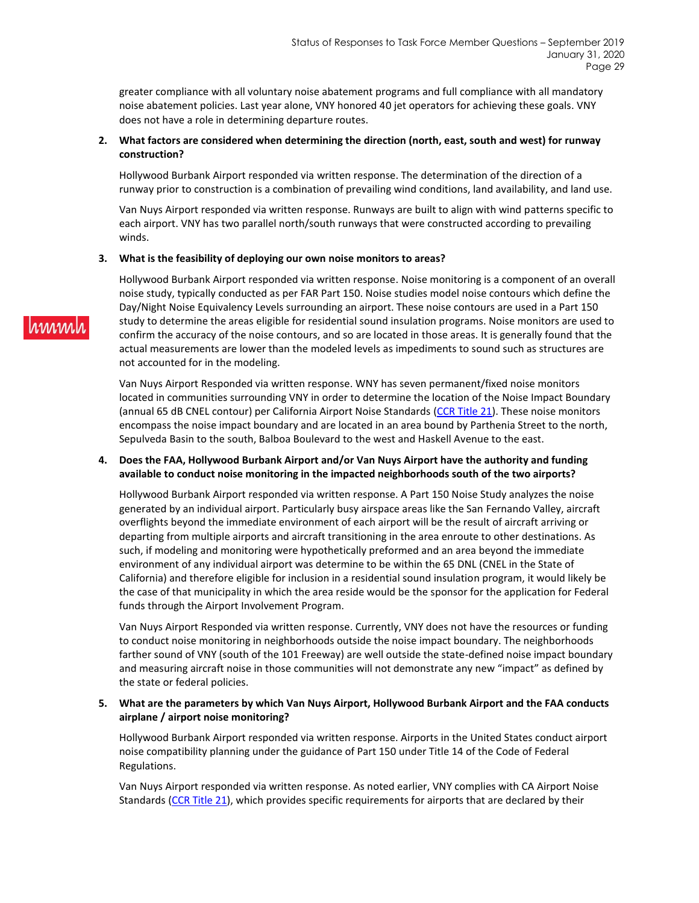greater compliance with all voluntary noise abatement programs and full compliance with all mandatory noise abatement policies. Last year alone, VNY honored 40 jet operators for achieving these goals. VNY does not have a role in determining departure routes.

### **2. What factors are considered when determining the direction (north, east, south and west) for runway construction?**

Hollywood Burbank Airport responded via written response. The determination of the direction of a runway prior to construction is a combination of prevailing wind conditions, land availability, and land use.

Van Nuys Airport responded via written response. Runways are built to align with wind patterns specific to each airport. VNY has two parallel north/south runways that were constructed according to prevailing winds.

#### **3. What is the feasibility of deploying our own noise monitors to areas?**

Hollywood Burbank Airport responded via written response. Noise monitoring is a component of an overall noise study, typically conducted as per FAR Part 150. Noise studies model noise contours which define the Day/Night Noise Equivalency Levels surrounding an airport. These noise contours are used in a Part 150 study to determine the areas eligible for residential sound insulation programs. Noise monitors are used to confirm the accuracy of the noise contours, and so are located in those areas. It is generally found that the actual measurements are lower than the modeled levels as impediments to sound such as structures are not accounted for in the modeling.

Van Nuys Airport Responded via written response. WNY has seven permanent/fixed noise monitors located in communities surrounding VNY in order to determine the location of the Noise Impact Boundary (annual 65 dB CNEL contour) per California Airport Noise Standards [\(CCR Title 21\)](https://govt.westlaw.com/calregs/Browse/Home/California/CaliforniaCodeofRegulations?guid=I7CD37A80D45011DEB97CF67CD0B99467&originationContext=documenttoc&transitionType=Default&contextData=(sc.Default)). These noise monitors encompass the noise impact boundary and are located in an area bound by Parthenia Street to the north, Sepulveda Basin to the south, Balboa Boulevard to the west and Haskell Avenue to the east.

### **4. Does the FAA, Hollywood Burbank Airport and/or Van Nuys Airport have the authority and funding available to conduct noise monitoring in the impacted neighborhoods south of the two airports?**

Hollywood Burbank Airport responded via written response. A Part 150 Noise Study analyzes the noise generated by an individual airport. Particularly busy airspace areas like the San Fernando Valley, aircraft overflights beyond the immediate environment of each airport will be the result of aircraft arriving or departing from multiple airports and aircraft transitioning in the area enroute to other destinations. As such, if modeling and monitoring were hypothetically preformed and an area beyond the immediate environment of any individual airport was determine to be within the 65 DNL (CNEL in the State of California) and therefore eligible for inclusion in a residential sound insulation program, it would likely be the case of that municipality in which the area reside would be the sponsor for the application for Federal funds through the Airport Involvement Program.

Van Nuys Airport Responded via written response. Currently, VNY does not have the resources or funding to conduct noise monitoring in neighborhoods outside the noise impact boundary. The neighborhoods farther sound of VNY (south of the 101 Freeway) are well outside the state-defined noise impact boundary and measuring aircraft noise in those communities will not demonstrate any new "impact" as defined by the state or federal policies.

### **5. What are the parameters by which Van Nuys Airport, Hollywood Burbank Airport and the FAA conducts airplane / airport noise monitoring?**

Hollywood Burbank Airport responded via written response. Airports in the United States conduct airport noise compatibility planning under the guidance of Part 150 under Title 14 of the Code of Federal Regulations.

Van Nuys Airport responded via written response. As noted earlier, VNY complies with CA Airport Noise Standards [\(CCR Title 21\)](https://govt.westlaw.com/calregs/Browse/Home/California/CaliforniaCodeofRegulations?guid=I7CD37A80D45011DEB97CF67CD0B99467&originationContext=documenttoc&transitionType=Default&contextData=(sc.Default)), which provides specific requirements for airports that are declared by their

# rinnin.